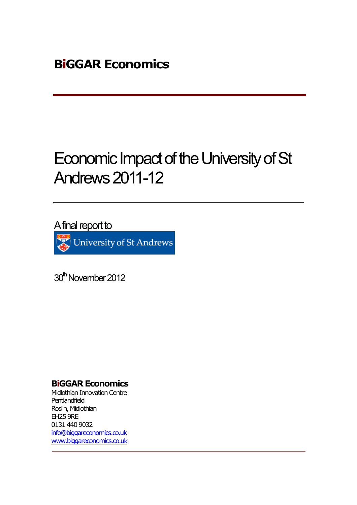# Economic Impact of the University of St Andrews2011-12

A final report to

University of St Andrews

30<sup>th</sup> November 2012

### **BiGGAR Economics**

Midlothian Innovation Centre Pentlandfield Roslin, Midlothian EH25 9RE 0131 440 9032 info@biggareconomics.co.uk www.biggareconomics.co.uk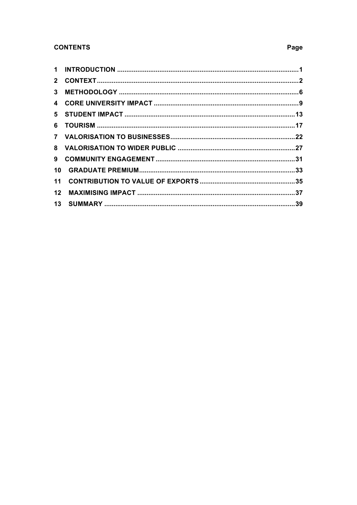### **CONTENTS**

| 10 |  |
|----|--|
|    |  |
|    |  |
|    |  |

### Page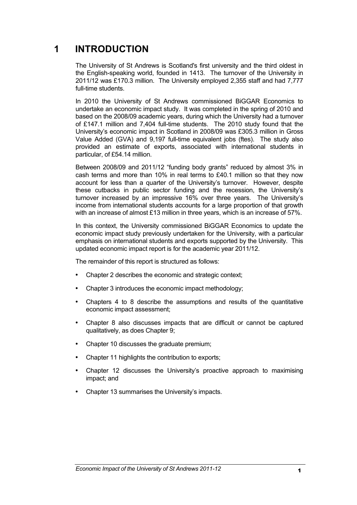## **1 INTRODUCTION**

The University of St Andrews is Scotland's first university and the third oldest in the English-speaking world, founded in 1413. The turnover of the University in 2011/12 was £170.3 million. The University employed 2,355 staff and had 7,777 full-time students.

In 2010 the University of St Andrews commissioned BiGGAR Economics to undertake an economic impact study. It was completed in the spring of 2010 and based on the 2008/09 academic years, during which the University had a turnover of £147.1 million and 7,404 full-time students. The 2010 study found that the University's economic impact in Scotland in 2008/09 was £305.3 million in Gross Value Added (GVA) and 9,197 full-time equivalent jobs (ftes). The study also provided an estimate of exports, associated with international students in particular, of £54.14 million.

Between 2008/09 and 2011/12 "funding body grants" reduced by almost 3% in cash terms and more than 10% in real terms to £40.1 million so that they now account for less than a quarter of the University's turnover. However, despite these cutbacks in public sector funding and the recession, the University's turnover increased by an impressive 16% over three years. The University's income from international students accounts for a large proportion of that growth with an increase of almost £13 million in three years, which is an increase of 57%.

In this context, the University commissioned BiGGAR Economics to update the economic impact study previously undertaken for the University, with a particular emphasis on international students and exports supported by the University. This updated economic impact report is for the academic year 2011/12.

The remainder of this report is structured as follows:

- Chapter 2 describes the economic and strategic context;
- Chapter 3 introduces the economic impact methodology;
- Chapters 4 to 8 describe the assumptions and results of the quantitative economic impact assessment;
- Chapter 8 also discusses impacts that are difficult or cannot be captured qualitatively, as does Chapter 9;
- Chapter 10 discusses the graduate premium;
- Chapter 11 highlights the contribution to exports;
- Chapter 12 discusses the University's proactive approach to maximising impact; and
- Chapter 13 summarises the University's impacts.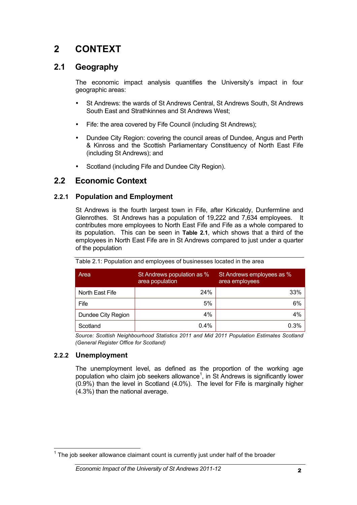# **2 CONTEXT**

### **2.1 Geography**

The economic impact analysis quantifies the University's impact in four geographic areas:

- St Andrews: the wards of St Andrews Central, St Andrews South, St Andrews South East and Strathkinnes and St Andrews West;
- Fife: the area covered by Fife Council (including St Andrews);
- Dundee City Region: covering the council areas of Dundee, Angus and Perth & Kinross and the Scottish Parliamentary Constituency of North East Fife (including St Andrews); and
- Scotland (including Fife and Dundee City Region).

### **2.2 Economic Context**

#### **2.2.1 Population and Employment**

St Andrews is the fourth largest town in Fife, after Kirkcaldy, Dunfermline and Glenrothes. St Andrews has a population of 19,222 and 7,634 employees. It contributes more employees to North East Fife and Fife as a whole compared to its population. This can be seen in **Table 2.1**, which shows that a third of the employees in North East Fife are in St Andrews compared to just under a quarter of the population

| Area               | St Andrews population as %<br>area population | St Andrews employees as %<br>area employees |  |
|--------------------|-----------------------------------------------|---------------------------------------------|--|
| North East Fife    | 24%                                           | 33%                                         |  |
| Fife               | 5%                                            | 6%                                          |  |
| Dundee City Region | 4%                                            | 4%                                          |  |
| Scotland           | 0.4%                                          | 0.3%                                        |  |

| Table 2.1: Population and employees of businesses located in the area |  |  |
|-----------------------------------------------------------------------|--|--|
|                                                                       |  |  |

*Source: Scottish Neighbourhood Statistics 2011 and Mid 2011 Population Estimates Scotland (General Register Office for Scotland)*

### **2.2.2 Unemployment**

The unemployment level, as defined as the proportion of the working age population who claim job seekers allowance<sup>1</sup>, in St Andrews is significantly lower (0.9%) than the level in Scotland (4.0%). The level for Fife is marginally higher (4.3%) than the national average.

 $1$  The job seeker allowance claimant count is currently just under half of the broader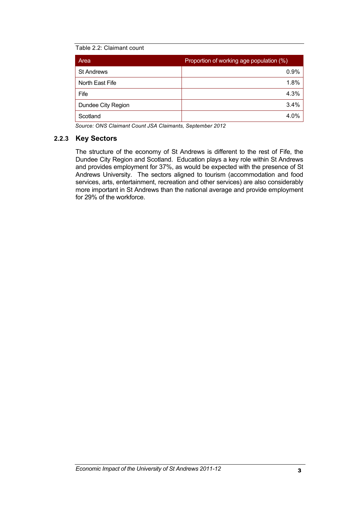#### Table 2.2: Claimant count

| Area               | Proportion of working age population (%) |  |  |
|--------------------|------------------------------------------|--|--|
| <b>St Andrews</b>  | 0.9%                                     |  |  |
| North East Fife    | 1.8%                                     |  |  |
| Fife               | 4.3%                                     |  |  |
| Dundee City Region | 3.4%                                     |  |  |
| Scotland           | 4.0%                                     |  |  |

*Source: ONS Claimant Count JSA Claimants, September 2012* 

#### **2.2.3 Key Sectors**

The structure of the economy of St Andrews is different to the rest of Fife, the Dundee City Region and Scotland. Education plays a key role within St Andrews and provides employment for 37%, as would be expected with the presence of St Andrews University. The sectors aligned to tourism (accommodation and food services, arts, entertainment, recreation and other services) are also considerably more important in St Andrews than the national average and provide employment for 29% of the workforce.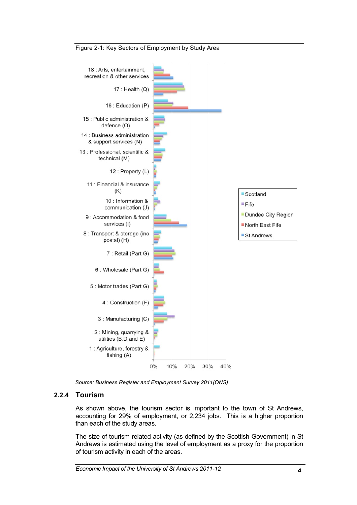

#### Figure 2-1: Key Sectors of Employment by Study Area

*Source: Business Register and Employment Survey 2011(ONS)*

#### **2.2.4 Tourism**

As shown above, the tourism sector is important to the town of St Andrews, accounting for 29% of employment, or 2,234 jobs. This is a higher proportion than each of the study areas.

The size of tourism related activity (as defined by the Scottish Government) in St Andrews is estimated using the level of employment as a proxy for the proportion of tourism activity in each of the areas.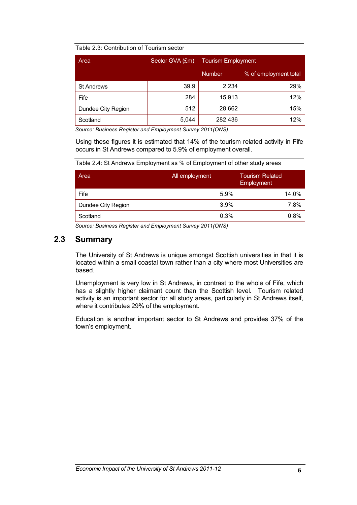#### Table 2.3: Contribution of Tourism sector

| Area               | Sector GVA (£m) | <b>Tourism Employment</b> |                       |
|--------------------|-----------------|---------------------------|-----------------------|
|                    |                 | <b>Number</b>             | % of employment total |
| <b>St Andrews</b>  | 39.9            | 2,234                     | 29%                   |
| Fife               | 284             | 15,913                    | 12%                   |
| Dundee City Region | 512             | 28,662                    | 15%                   |
| Scotland           | 5,044           | 282,436                   | 12%                   |

*Source: Business Register and Employment Survey 2011(ONS)*

Using these figures it is estimated that 14% of the tourism related activity in Fife occurs in St Andrews compared to 5.9% of employment overall.

Table 2.4: St Andrews Employment as % of Employment of other study areas

| Area               | All employment | <b>Tourism Related</b><br>Employment |
|--------------------|----------------|--------------------------------------|
| Fife               | 5.9%           | 14.0%                                |
| Dundee City Region | 3.9%           | 7.8%                                 |
| Scotland           | 0.3%           | 0.8%                                 |

*Source: Business Register and Employment Survey 2011(ONS)*

### **2.3 Summary**

The University of St Andrews is unique amongst Scottish universities in that it is located within a small coastal town rather than a city where most Universities are based.

Unemployment is very low in St Andrews, in contrast to the whole of Fife, which has a slightly higher claimant count than the Scottish level. Tourism related activity is an important sector for all study areas, particularly in St Andrews itself, where it contributes 29% of the employment.

Education is another important sector to St Andrews and provides 37% of the town's employment.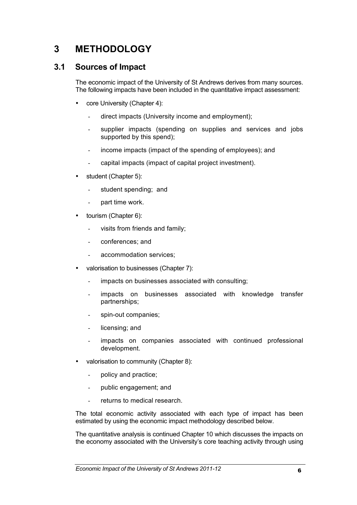# **3 METHODOLOGY**

### **3.1 Sources of Impact**

The economic impact of the University of St Andrews derives from many sources. The following impacts have been included in the quantitative impact assessment:

- core University (Chapter 4):
	- direct impacts (University income and employment);
	- supplier impacts (spending on supplies and services and jobs supported by this spend);
	- income impacts (impact of the spending of employees); and
	- capital impacts (impact of capital project investment).
- student (Chapter 5):
	- student spending; and
	- part time work.
- tourism (Chapter 6):
	- visits from friends and family;
	- conferences; and
	- accommodation services;
- valorisation to businesses (Chapter 7):
	- impacts on businesses associated with consulting;
	- impacts on businesses associated with knowledge transfer partnerships;
	- spin-out companies;
	- licensing; and
	- impacts on companies associated with continued professional development.
- valorisation to community (Chapter 8):
	- policy and practice;
	- public engagement; and
	- returns to medical research.

The total economic activity associated with each type of impact has been estimated by using the economic impact methodology described below.

The quantitative analysis is continued Chapter 10 which discusses the impacts on the economy associated with the University's core teaching activity through using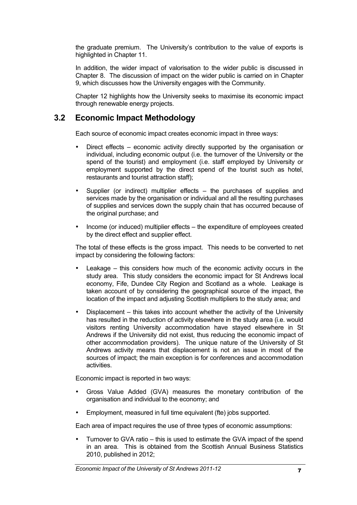the graduate premium. The University's contribution to the value of exports is highlighted in Chapter 11.

In addition, the wider impact of valorisation to the wider public is discussed in Chapter 8. The discussion of impact on the wider public is carried on in Chapter 9, which discusses how the University engages with the Community.

Chapter 12 highlights how the University seeks to maximise its economic impact through renewable energy projects.

### **3.2 Economic Impact Methodology**

Each source of economic impact creates economic impact in three ways:

- Direct effects economic activity directly supported by the organisation or individual, including economic output (i.e. the turnover of the University or the spend of the tourist) and employment (i.e. staff employed by University or employment supported by the direct spend of the tourist such as hotel, restaurants and tourist attraction staff);
- Supplier (or indirect) multiplier effects the purchases of supplies and services made by the organisation or individual and all the resulting purchases of supplies and services down the supply chain that has occurred because of the original purchase; and
- Income (or induced) multiplier effects the expenditure of employees created by the direct effect and supplier effect.

The total of these effects is the gross impact. This needs to be converted to net impact by considering the following factors:

- Leakage  $-$  this considers how much of the economic activity occurs in the study area. This study considers the economic impact for St Andrews local economy, Fife, Dundee City Region and Scotland as a whole. Leakage is taken account of by considering the geographical source of the impact, the location of the impact and adjusting Scottish multipliers to the study area; and
- Displacement this takes into account whether the activity of the University has resulted in the reduction of activity elsewhere in the study area (i.e. would visitors renting University accommodation have stayed elsewhere in St Andrews if the University did not exist, thus reducing the economic impact of other accommodation providers). The unique nature of the University of St Andrews activity means that displacement is not an issue in most of the sources of impact; the main exception is for conferences and accommodation activities.

Economic impact is reported in two ways:

- Gross Value Added (GVA) measures the monetary contribution of the organisation and individual to the economy; and
- Employment, measured in full time equivalent (fte) jobs supported.

Each area of impact requires the use of three types of economic assumptions:

• Turnover to GVA ratio – this is used to estimate the GVA impact of the spend in an area. This is obtained from the Scottish Annual Business Statistics 2010, published in 2012;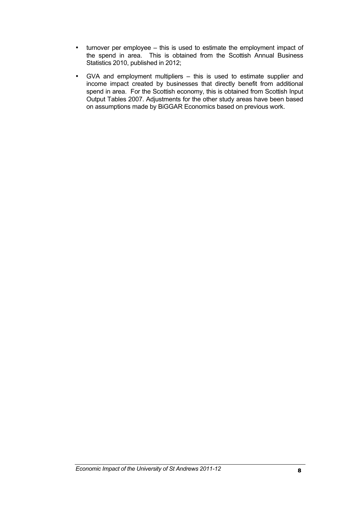- turnover per employee this is used to estimate the employment impact of the spend in area. This is obtained from the Scottish Annual Business Statistics 2010, published in 2012;
- GVA and employment multipliers this is used to estimate supplier and income impact created by businesses that directly benefit from additional spend in area. For the Scottish economy, this is obtained from Scottish Input Output Tables 2007. Adjustments for the other study areas have been based on assumptions made by BiGGAR Economics based on previous work.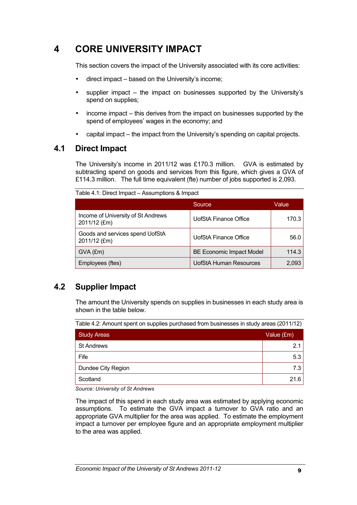# **4 CORE UNIVERSITY IMPACT**

This section covers the impact of the University associated with its core activities:

- direct impact based on the University's income;
- supplier impact the impact on businesses supported by the University's spend on supplies;
- income impact this derives from the impact on businesses supported by the spend of employees' wages in the economy; and
- capital impact the impact from the University's spending on capital projects.

### **4.1 Direct Impact**

The University's income in 2011/12 was £170.3 million. GVA is estimated by subtracting spend on goods and services from this figure, which gives a GVA of £114.3 million. The full time equivalent (fte) number of jobs supported is 2,093.

|                                                    | Source                          | Value |  |
|----------------------------------------------------|---------------------------------|-------|--|
| Income of University of St Andrews<br>2011/12 (£m) | UofStA Finance Office           | 170.3 |  |
| Goods and services spend UofStA<br>2011/12 (£m)    | <b>UofStA Finance Office</b>    | 56.0  |  |
| $GVA$ (£m)                                         | <b>BE Economic Impact Model</b> | 114.3 |  |
| Employees (ftes)                                   | <b>UofStA Human Resources</b>   | 2,093 |  |

Table 4.1: Direct Impact – Assumptions & Impact

### **4.2 Supplier Impact**

The amount the University spends on supplies in businesses in each study area is shown in the table below.

Table 4.2: Amount spent on supplies purchased from businesses in study areas (2011/12)

| <b>Study Areas</b> | Value (£m) |
|--------------------|------------|
| <b>St Andrews</b>  | 2.1        |
| Fife               | 5.3        |
| Dundee City Region | 7.3 I      |
| Scotland           | 21.6       |

*Source: University of St Andrews*

The impact of this spend in each study area was estimated by applying economic assumptions. To estimate the GVA impact a turnover to GVA ratio and an appropriate GVA multiplier for the area was applied. To estimate the employment impact a turnover per employee figure and an appropriate employment multiplier to the area was applied.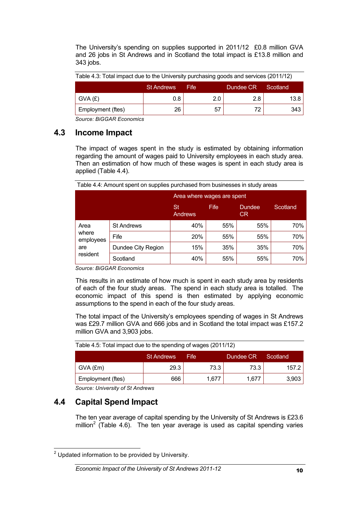The University's spending on supplies supported in 2011/12 £0.8 million GVA and 26 jobs in St Andrews and in Scotland the total impact is £13.8 million and 343 jobs.

| Table 4.3: Total impact due to the University purchasing goods and services (2011/12) |  |  |
|---------------------------------------------------------------------------------------|--|--|
|                                                                                       |  |  |

|                   | <b>St Andrews</b> | Fife | Dundee CR <sup>1</sup> | Scotland |
|-------------------|-------------------|------|------------------------|----------|
| GVA(E)            | 0.8               | ን ስ  | 2.8                    | 13.8     |
| Employment (ftes) | 26                | 57   | 72                     | 343      |

*Source: BiGGAR Economics*

### **4.3 Income Impact**

The impact of wages spent in the study is estimated by obtaining information regarding the amount of wages paid to University employees in each study area. Then an estimation of how much of these wages is spent in each study area is applied (Table 4.4).

| Table 4.4: Amount spent on supplies purchased from businesses in study areas |  |
|------------------------------------------------------------------------------|--|
|------------------------------------------------------------------------------|--|

|                    |                    | Area where wages are spent |      |                     |          |
|--------------------|--------------------|----------------------------|------|---------------------|----------|
|                    |                    | St<br>Andrews              | Fife | <b>Dundee</b><br>CR | Scotland |
| Area               | <b>St Andrews</b>  | 40%                        | 55%  | 55%                 | 70%      |
| where<br>employees | Fife               | 20%                        | 55%  | 55%                 | 70%      |
| are                | Dundee City Region | 15%                        | 35%  | 35%                 | 70%      |
| resident           | Scotland           | 40%                        | 55%  | 55%                 | 70%      |

*Source: BiGGAR Economics*

This results in an estimate of how much is spent in each study area by residents of each of the four study areas. The spend in each study area is totalled. The economic impact of this spend is then estimated by applying economic assumptions to the spend in each of the four study areas.

The total impact of the University's employees spending of wages in St Andrews was £29.7 million GVA and 666 jobs and in Scotland the total impact was £157.2 million GVA and 3,903 jobs.

| Table 4.5: Total impact due to the spending of wages (2011/12) |      |       |       |       |  |
|----------------------------------------------------------------|------|-------|-------|-------|--|
| Dundee CR<br><b>St Andrews</b><br>Scotland<br>Fife             |      |       |       |       |  |
| $GVA$ (£m)                                                     | 29.3 | 73.3  | 73.3  | 157.2 |  |
| Employment (ftes)                                              | 666  | 1.677 | 1.677 | 3,903 |  |

*Source: University of St Andrews*

### **4.4 Capital Spend Impact**

The ten year average of capital spending by the University of St Andrews is £23.6 million<sup>2</sup> (Table 4.6). The ten year average is used as capital spending varies

 $2$  Updated information to be provided by University.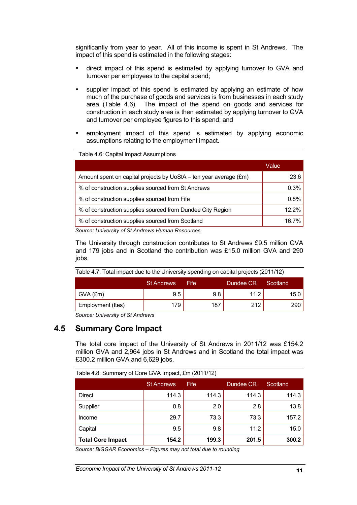significantly from year to year. All of this income is spent in St Andrews. The impact of this spend is estimated in the following stages:

- direct impact of this spend is estimated by applying turnover to GVA and turnover per employees to the capital spend;
- supplier impact of this spend is estimated by applying an estimate of how much of the purchase of goods and services is from businesses in each study area (Table 4.6). The impact of the spend on goods and services for construction in each study area is then estimated by applying turnover to GVA and turnover per employee figures to this spend; and
- employment impact of this spend is estimated by applying economic assumptions relating to the employment impact.

| Table 4.6: Capital Impact Assumptions |  |
|---------------------------------------|--|
|---------------------------------------|--|

|                                                                   | Value |
|-------------------------------------------------------------------|-------|
| Amount spent on capital projects by UoStA - ten year average (£m) | 23.6  |
| % of construction supplies sourced from St Andrews                | 0.3%  |
| % of construction supplies sourced from Fife                      | 0.8%  |
| % of construction supplies sourced from Dundee City Region        | 12.2% |
| % of construction supplies sourced from Scotland                  | 16.7% |

*Source: University of St Andrews Human Resources*

The University through construction contributes to St Andrews £9.5 million GVA and 179 jobs and in Scotland the contribution was £15.0 million GVA and 290 jobs.

| Table 4.7: Total impact due to the University spending on capital projects (2011/12) |     |      |      |  |  |
|--------------------------------------------------------------------------------------|-----|------|------|--|--|
| Dundee CR<br><b>St Andrews</b><br>Scotland<br>Fife                                   |     |      |      |  |  |
| 9.5                                                                                  | 9.8 | 11.2 | 15.0 |  |  |
| 179                                                                                  | 187 | 212  | 290  |  |  |
|                                                                                      |     |      |      |  |  |

*Source: University of St Andrews*

### **4.5 Summary Core Impact**

The total core impact of the University of St Andrews in 2011/12 was £154.2 million GVA and 2,964 jobs in St Andrews and in Scotland the total impact was £300.2 million GVA and 6,629 jobs.

| Table 4.8: Summary of Core GVA Impact, £m (2011/12) |  |  |
|-----------------------------------------------------|--|--|
|                                                     |  |  |

|                          | <b>St Andrews</b> | Fife  | Dundee CR | Scotland |
|--------------------------|-------------------|-------|-----------|----------|
| <b>Direct</b>            | 114.3             | 114.3 | 114.3     | 114.3    |
| Supplier                 | 0.8               | 2.0   | 2.8       | 13.8     |
| Income                   | 29.7              | 73.3  | 73.3      | 157.2    |
| Capital                  | 9.5               | 9.8   | 11.2      | 15.0     |
| <b>Total Core Impact</b> | 154.2             | 199.3 | 201.5     | 300.2    |

*Source: BiGGAR Economics – Figures may not total due to rounding*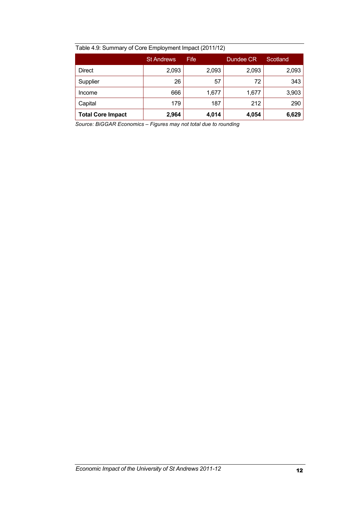|                          | <b>St Andrews</b> | Fife  | Dundee CR | Scotland |
|--------------------------|-------------------|-------|-----------|----------|
| <b>Direct</b>            | 2,093             | 2,093 | 2,093     | 2,093    |
| Supplier                 | 26                | 57    | 72        | 343      |
| Income                   | 666               | 1,677 | 1,677     | 3,903    |
| Capital                  | 179               | 187   | 212       | 290      |
| <b>Total Core Impact</b> | 2,964             | 4,014 | 4,054     | 6,629    |

*Source: BiGGAR Economics – Figures may not total due to rounding*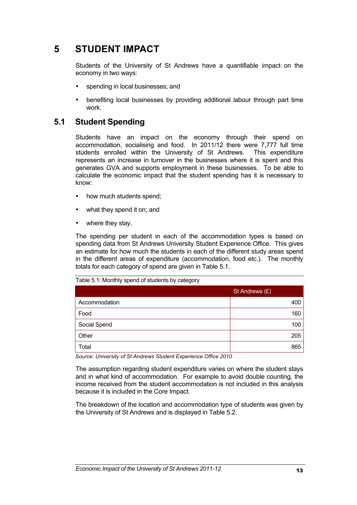# **5 STUDENT IMPACT**

Students of the University of St Andrews have a quantifiable impact on the economy in two ways:

- spending in local businesses; and
- benefiting local businesses by providing additional labour through part time work.

### **5.1 Student Spending**

Students have an impact on the economy through their spend on accommodation, socialising and food. In 2011/12 there were 7,777 full time students enrolled within the University of St Andrews. This expenditure represents an increase in turnover in the businesses where it is spent and this generates GVA and supports employment in these businesses. To be able to calculate the economic impact that the student spending has it is necessary to know:

- how much students spend;
- what they spend it on; and
- where they stay.

The spending per student in each of the accommodation types is based on spending data from St Andrews University Student Experience Office. This gives an estimate for how much the students in each of the different study areas spend in the different areas of expenditure (accommodation, food etc.). The monthly totals for each category of spend are given in Table 5.1.

Table 5.1: Monthly spend of students by category

|               | St Andrews (£) |  |
|---------------|----------------|--|
| Accommodation | 400            |  |
| Food          | 160            |  |
| Social Spend  | 100            |  |
| Other         | 205            |  |
| Total         | 865            |  |

*Source: University of St Andrews Student Experience Office 2010*

The assumption regarding student expenditure varies on where the student stays and in what kind of accommodation. For example to avoid double counting, the income received from the student accommodation is not included in this analysis because it is included in the Core Impact.

The breakdown of the location and accommodation type of students was given by the University of St Andrews and is displayed in Table 5.2.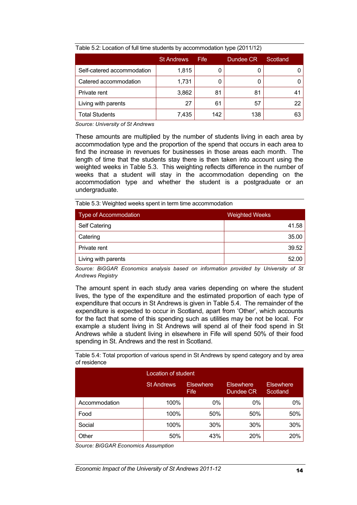| Table 5.2. Location of full time students by accommodation type (2011/12) |                   |             |           |          |  |  |
|---------------------------------------------------------------------------|-------------------|-------------|-----------|----------|--|--|
|                                                                           | <b>St Andrews</b> | <b>Fife</b> | Dundee CR | Scotland |  |  |
| Self-catered accommodation                                                | 1,815             |             |           |          |  |  |
| Catered accommodation                                                     | 1,731             |             |           |          |  |  |
| Private rent                                                              | 3,862             | 81          | 81        | 41       |  |  |
| Living with parents                                                       | 27                | 61          | 57        | 22       |  |  |
| <b>Total Students</b>                                                     | 7,435             | 142         | 138       | 63       |  |  |

Table 5.2: Location of full time students by accommodation type (2011/12)

*Source: University of St Andrews*

These amounts are multiplied by the number of students living in each area by accommodation type and the proportion of the spend that occurs in each area to find the increase in revenues for businesses in those areas each month. The length of time that the students stay there is then taken into account using the weighted weeks in Table 5.3. This weighting reflects difference in the number of weeks that a student will stay in the accommodation depending on the accommodation type and whether the student is a postgraduate or an undergraduate.

Table 5.3: Weighted weeks spent in term time accommodation

| Type of Accommodation | <b>Weighted Weeks</b> |
|-----------------------|-----------------------|
| <b>Self Catering</b>  | 41.58                 |
| Catering              | 35.00                 |
| Private rent          | 39.52                 |
| Living with parents   | 52.00                 |

*Source: BiGGAR Economics analysis based on information provided by University of St Andrews Registry* 

The amount spent in each study area varies depending on where the student lives, the type of the expenditure and the estimated proportion of each type of expenditure that occurs in St Andrews is given in Table 5.4. The remainder of the expenditure is expected to occur in Scotland, apart from 'Other', which accounts for the fact that some of this spending such as utilities may be not be local. For example a student living in St Andrews will spend al of their food spend in St Andrews while a student living in elsewhere in Fife will spend 50% of their food spending in St. Andrews and the rest in Scotland.

Table 5.4: Total proportion of various spend in St Andrews by spend category and by area of residence

|               | Location of student |                          |                               |                              |  |
|---------------|---------------------|--------------------------|-------------------------------|------------------------------|--|
|               | <b>St Andrews</b>   | <b>Elsewhere</b><br>Fife | <b>Elsewhere</b><br>Dundee CR | <b>Elsewhere</b><br>Scotland |  |
| Accommodation | 100%                | 0%                       | $0\%$                         | 0%                           |  |
| Food          | 100%                | 50%                      | 50%                           | 50%                          |  |
| Social        | 100%                | 30%                      | 30%                           | 30%                          |  |
| Other         | 50%                 | 43%                      | <b>20%</b>                    | 20%                          |  |

*Source: BiGGAR Economics Assumption*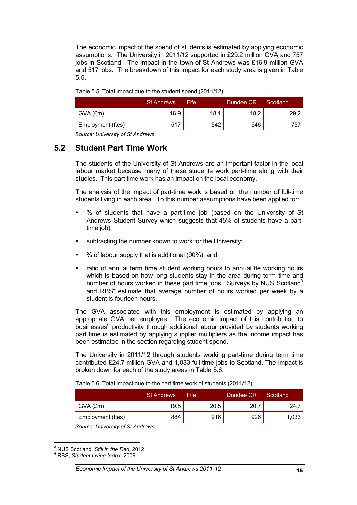The economic impact of the spend of students is estimated by applying economic assumptions. The University in 2011/12 supported in £29.2 million GVA and 757 jobs in Scotland. The impact in the town of St Andrews was £16.9 million GVA and 517 jobs. The breakdown of this impact for each study area is given in Table 5.5.

|                   | <b>St Andrews</b> | Fife | Dundee CR | Scotland |
|-------------------|-------------------|------|-----------|----------|
| $\vert$ GVA (£m)  | 16.9              | 18.1 | 18.2      | 29.2     |
| Employment (ftes) | 517               | 542  | 546       | 757      |

|  | Table 5.5: Total impact due to the student spend (2011/12) |  |
|--|------------------------------------------------------------|--|
|--|------------------------------------------------------------|--|

*Source: University of St Andrews*

### **5.2 Student Part Time Work**

The students of the University of St Andrews are an important factor in the local labour market because many of these students work part-time along with their studies. This part time work has an impact on the local economy.

The analysis of the impact of part-time work is based on the number of full-time students living in each area. To this number assumptions have been applied for:

- % of students that have a part-time job (based on the University of St Andrews Student Survey which suggests that 45% of students have a parttime job);
- subtracting the number known to work for the University;
- % of labour supply that is additional (90%); and
- ratio of annual term time student working hours to annual fte working hours which is based on how long students stay in the area during term time and number of hours worked in these part time jobs. Surveys by NUS Scotland<sup>3</sup> and RBS<sup>4</sup> estimate that average number of hours worked per week by a student is fourteen hours.

The GVA associated with this employment is estimated by applying an appropriate GVA per employee. The economic impact of this contribution to businesses'' productivity through additional labour provided by students working part time is estimated by applying supplier multipliers as the income impact has been estimated in the section regarding student spend.

The University in 2011/12 through students working part-time during term time contributed £24.7 million GVA and 1,033 full-time jobs to Scotland. The impact is broken down for each of the study areas in Table 5.6.

| Table 5.6: Total impact due to the part time work of students (2011/12) |  |  |
|-------------------------------------------------------------------------|--|--|
|-------------------------------------------------------------------------|--|--|

|                   | <b>St Andrews</b> | Fife | Dundee CR | Scotland |
|-------------------|-------------------|------|-----------|----------|
| $GVA$ (£m)        | 19.5              | 20.5 | 20.7      | 24.7     |
| Employment (ftes) | 884               | 916  | 926       | 1,033    |

*Source: University of St Andrews*

<sup>&</sup>lt;sup>3</sup> NUS Scotland, *Still in the Red,* 2012<br><sup>4</sup> RBS, *Student Living Index,* 2009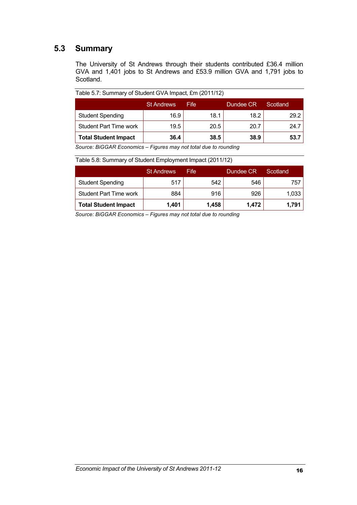### **5.3 Summary**

The University of St Andrews through their students contributed £36.4 million GVA and 1,401 jobs to St Andrews and £53.9 million GVA and 1,791 jobs to Scotland.

Table 5.7: Summary of Student GVA Impact, £m (2011/12)

|                               | <b>St Andrews</b> | Fife | Dundee CR | Scotland |
|-------------------------------|-------------------|------|-----------|----------|
| <b>Student Spending</b>       | 16.9              | 18.1 | 18.2      | 29.2     |
| <b>Student Part Time work</b> | 19.5              | 20.5 | 20.7      | 24.7     |
| <b>Total Student Impact</b>   | 36.4              | 38.5 | 38.9      | 53.7     |

*Source: BiGGAR Economics – Figures may not total due to rounding*

#### Table 5.8: Summary of Student Employment Impact (2011/12)

|                               | <b>St Andrews</b> | Fife  | Dundee CR | Scotland |
|-------------------------------|-------------------|-------|-----------|----------|
| <b>Student Spending</b>       | 517               | 542   | 546       | 757      |
| <b>Student Part Time work</b> | 884               | 916   | 926       | 1,033    |
| <b>Total Student Impact</b>   | 1,401             | 1,458 | 1.472     | 1,791    |

*Source: BiGGAR Economics – Figures may not total due to rounding*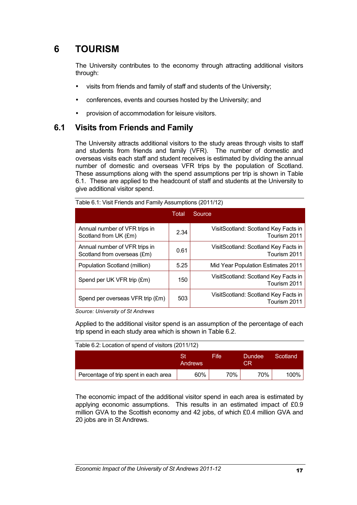# **6 TOURISM**

The University contributes to the economy through attracting additional visitors through:

- visits from friends and family of staff and students of the University;
- conferences, events and courses hosted by the University; and
- provision of accommodation for leisure visitors.

### **6.1 Visits from Friends and Family**

The University attracts additional visitors to the study areas through visits to staff and students from friends and family (VFR). The number of domestic and overseas visits each staff and student receives is estimated by dividing the annual number of domestic and overseas VFR trips by the population of Scotland. These assumptions along with the spend assumptions per trip is shown in Table 6.1. These are applied to the headcount of staff and students at the University to give additional visitor spend.

|                                                              | Total | Source                                               |  |
|--------------------------------------------------------------|-------|------------------------------------------------------|--|
| Annual number of VFR trips in<br>Scotland from UK (£m)       | 2.34  | VisitScotland: Scotland Key Facts in<br>Tourism 2011 |  |
| Annual number of VFR trips in<br>Scotland from overseas (£m) | 0.61  | VisitScotland: Scotland Key Facts in<br>Tourism 2011 |  |
| Population Scotland (million)                                | 5.25  | Mid Year Population Estimates 2011                   |  |
| Spend per UK VFR trip (£m)                                   | 150   | VisitScotland: Scotland Key Facts in<br>Tourism 2011 |  |
| Spend per overseas VFR trip (£m)                             | 503   | VisitScotland: Scotland Key Facts in<br>Tourism 2011 |  |

Table 6.1: Visit Friends and Family Assumptions (2011/12)

*Source: University of St Andrews*

Applied to the additional visitor spend is an assumption of the percentage of each trip spend in each study area which is shown in Table 6.2.

| Table 6.2: Location of spend of visitors (2011/12) |               |      |               |          |  |
|----------------------------------------------------|---------------|------|---------------|----------|--|
|                                                    | St<br>Andrews | Fife | Dundee<br>CR. | Scotland |  |
| Percentage of trip spent in each area              | 60%           | 70%  | 70%           | 100%     |  |

The economic impact of the additional visitor spend in each area is estimated by applying economic assumptions. This results in an estimated impact of £0.9 million GVA to the Scottish economy and 42 jobs, of which £0.4 million GVA and 20 jobs are in St Andrews.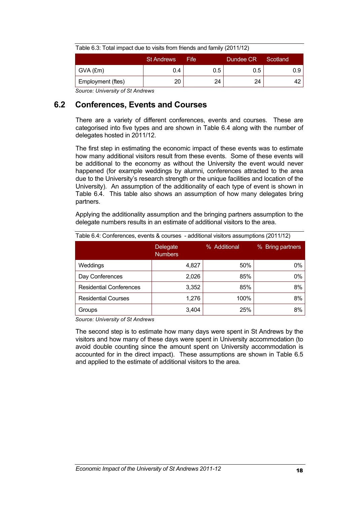| Table 6.3: Total impact due to visits from friends and family (2011/12) |     |     |  |     |  |  |
|-------------------------------------------------------------------------|-----|-----|--|-----|--|--|
| <b>St Andrews</b><br>Dundee CR<br>Scotland<br>Fife                      |     |     |  |     |  |  |
| 0.4                                                                     | 0.5 | 0.5 |  | 0.9 |  |  |
| 20                                                                      | 24  | 24  |  |     |  |  |
|                                                                         |     |     |  |     |  |  |

*Source: University of St Andrews*

### **6.2 Conferences, Events and Courses**

There are a variety of different conferences, events and courses. These are categorised into five types and are shown in Table 6.4 along with the number of delegates hosted in 2011/12.

The first step in estimating the economic impact of these events was to estimate how many additional visitors result from these events. Some of these events will be additional to the economy as without the University the event would never happened (for example weddings by alumni, conferences attracted to the area due to the University's research strength or the unique facilities and location of the University). An assumption of the additionality of each type of event is shown in Table 6.4. This table also shows an assumption of how many delegates bring partners.

Applying the additionality assumption and the bringing partners assumption to the delegate numbers results in an estimate of additional visitors to the area.

| Table 6.4: Conferences, events & courses - additional visitors assumptions (2011/12) |                            |              |                  |  |  |
|--------------------------------------------------------------------------------------|----------------------------|--------------|------------------|--|--|
|                                                                                      | Delegate<br><b>Numbers</b> | % Additional | % Bring partners |  |  |
| Weddings                                                                             | 4,827                      | 50%          | $0\%$            |  |  |
| Day Conferences                                                                      | 2,026                      | 85%          | $0\%$            |  |  |
| <b>Residential Conferences</b>                                                       | 3,352                      | 85%          | 8%               |  |  |
| <b>Residential Courses</b>                                                           | 1,276                      | 100%         | 8%               |  |  |
| Groups                                                                               | 3,404                      | 25%          | 8%               |  |  |

*Source: University of St Andrews*

The second step is to estimate how many days were spent in St Andrews by the visitors and how many of these days were spent in University accommodation (to avoid double counting since the amount spent on University accommodation is accounted for in the direct impact). These assumptions are shown in Table 6.5 and applied to the estimate of additional visitors to the area.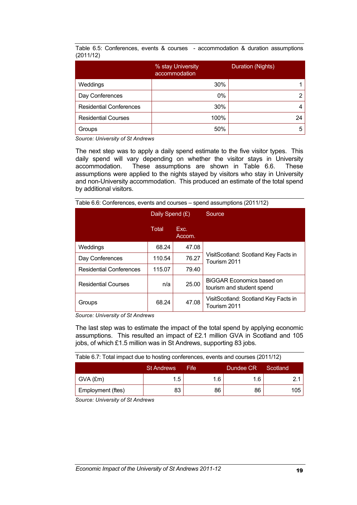Table 6.5: Conferences, events & courses - accommodation & duration assumptions (2011/12)

|                                | % stay University<br>accommodation | Duration (Nights) |
|--------------------------------|------------------------------------|-------------------|
| Weddings                       | 30%                                |                   |
| Day Conferences                | 0%                                 |                   |
| <b>Residential Conferences</b> | 30%                                |                   |
| <b>Residential Courses</b>     | 100%                               | 24                |
| Groups                         | 50%                                |                   |

*Source: University of St Andrews*

The next step was to apply a daily spend estimate to the five visitor types. This daily spend will vary depending on whether the visitor stays in University accommodation. These assumptions are shown in Table 6.6. These assumptions were applied to the nights stayed by visitors who stay in University and non-University accommodation. This produced an estimate of the total spend by additional visitors.

|                                | Daily Spend (£) |                | Source                                                 |  |
|--------------------------------|-----------------|----------------|--------------------------------------------------------|--|
|                                | Total           | Exc.<br>Accom. |                                                        |  |
| Weddings                       | 68.24           | 47.08          |                                                        |  |
| Day Conferences                | 110.54          | 76.27          | VisitScotland: Scotland Key Facts in<br>Tourism 2011   |  |
| <b>Residential Conferences</b> | 115.07          | 79.40          |                                                        |  |
| <b>Residential Courses</b>     | n/a             | 25.00          | BiGGAR Economics based on<br>tourism and student spend |  |
| Groups                         | 68.24           | 47.08          | VisitScotland: Scotland Key Facts in<br>Tourism 2011   |  |

Table 6.6: Conferences, events and courses – spend assumptions (2011/12)

*Source: University of St Andrews*

The last step was to estimate the impact of the total spend by applying economic assumptions. This resulted an impact of £2.1 million GVA in Scotland and 105 jobs, of which £1.5 million was in St Andrews, supporting 83 jobs.

| Table 6.7: Total impact due to hosting conferences, events and courses (2011/12) |     |     |     |  |     |  |
|----------------------------------------------------------------------------------|-----|-----|-----|--|-----|--|
| <b>St Andrews</b><br>Dundee CR<br>Fife.<br>Scotland                              |     |     |     |  |     |  |
| GVA (£m)                                                                         | 1.5 | 1.6 | 1.6 |  | 2.1 |  |

Employment (ftes) 83 86 86 105

*Source: University of St Andrews*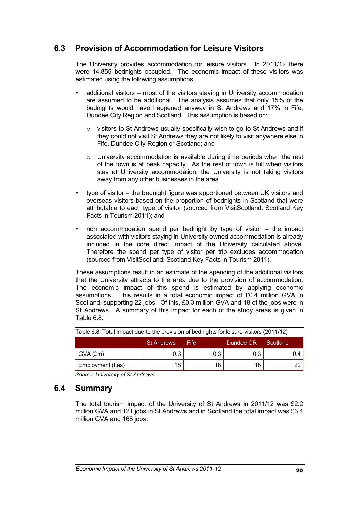### **6.3 Provision of Accommodation for Leisure Visitors**

The University provides accommodation for leisure visitors. In 2011/12 there were 14,855 bednights occupied. The economic impact of these visitors was estimated using the following assumptions:

- additional visitors most of the visitors staying in University accommodation are assumed to be additional. The analysis assumes that only 15% of the bednights would have happened anyway in St Andrews and 17% in Fife, Dundee City Region and Scotland. This assumption is based on:
	- o visitors to St Andrews usually specifically wish to go to St Andrews and if they could not visit St Andrews they are not likely to visit anywhere else in Fife, Dundee City Region or Scotland; and
	- $\circ$  University accommodation is available during time periods when the rest of the town is at peak capacity. As the rest of town is full when visitors stay at University accommodation, the University is not taking visitors away from any other businesses in the area.
- type of visitor the bednight figure was apportioned between UK visitors and overseas visitors based on the proportion of bednights in Scotland that were attributable to each type of visitor (sourced from VisitScotland: Scotland Key Facts in Tourism 2011); and
- non accommodation spend per bednight by type of visitor  $-$  the impact associated with visitors staying in University owned accommodation is already included in the core direct impact of the University calculated above. Therefore the spend per type of visitor per trip excludes accommodation (sourced from VisitScotland: Scotland Key Facts in Tourism 2011).

These assumptions result in an estimate of the spending of the additional visitors that the University attracts to the area due to the provision of accommodation. The economic impact of this spend is estimated by applying economic assumptions. This results in a total economic impact of £0.4 million GVA in Scotland, supporting 22 jobs. Of this, £0.3 million GVA and 18 of the jobs were in St Andrews. A summary of this impact for each of the study areas is given in Table 6.8.

| $\frac{1}{2}$ and $\frac{1}{2}$ . Then impact and to the proticion of sounights for local of holloid $\frac{1}{2}$ . If $\frac{1}{2}$ |                   |       |           |          |  |  |  |
|---------------------------------------------------------------------------------------------------------------------------------------|-------------------|-------|-----------|----------|--|--|--|
|                                                                                                                                       | <b>St Andrews</b> | Fife. | Dundee CR | Scotland |  |  |  |
| GVA (£m)                                                                                                                              | 0.3               | 0.3   | 0.3       | 0.4      |  |  |  |
| Employment (ftes)                                                                                                                     | 18                | 18    | 18        |          |  |  |  |

Table 6.8: Total impact due to the provision of bednights for leisure visitors (2011/12)

*Source: University of St Andrews*

### **6.4 Summary**

The total tourism impact of the University of St Andrews in 2011/12 was £2.2 million GVA and 121 jobs in St Andrews and in Scotland the total impact was £3.4 million GVA and 168 jobs.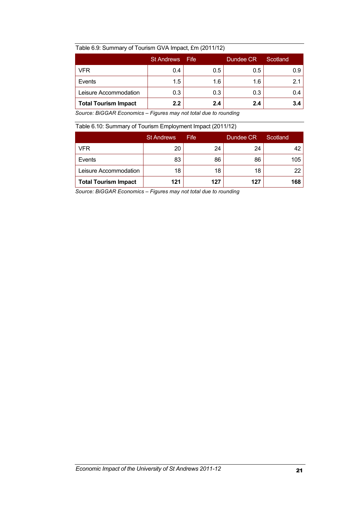#### Table 6.9: Summary of Tourism GVA Impact, £m (2011/12)

|                             | <b>St Andrews</b> | Fife | Dundee CR | Scotland |
|-----------------------------|-------------------|------|-----------|----------|
| VFR                         | 0.4               | 0.5  | 0.5       | 0.9      |
| Events                      | 1.5               | 1.6  | 1.6       |          |
| Leisure Accommodation       | 0.3               | 0.3  | 0.3       | 0.4      |
| <b>Total Tourism Impact</b> | 2.2               | 2.4  | 2.4       | 3.4      |

*Source: BiGGAR Economics – Figures may not total due to rounding*

Table 6.10: Summary of Tourism Employment Impact (2011/12)

|                             | <b>St Andrews</b> | Fife | Dundee CR | Scotland |
|-----------------------------|-------------------|------|-----------|----------|
| VFR                         | 20                | 24   | 24        |          |
| Events                      | 83                | 86   | 86        | 105      |
| Leisure Accommodation       | 18                | 18   | 18        | 22       |
| <b>Total Tourism Impact</b> | 121               | 127  | 127       | 168      |

*Source: BiGGAR Economics – Figures may not total due to rounding*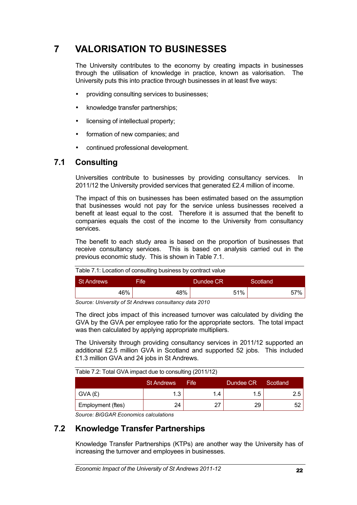# **7 VALORISATION TO BUSINESSES**

The University contributes to the economy by creating impacts in businesses through the utilisation of knowledge in practice, known as valorisation. The University puts this into practice through businesses in at least five ways:

- providing consulting services to businesses;
- knowledge transfer partnerships;
- licensing of intellectual property;
- formation of new companies; and
- continued professional development.

### **7.1 Consulting**

Universities contribute to businesses by providing consultancy services. In 2011/12 the University provided services that generated £2.4 million of income.

The impact of this on businesses has been estimated based on the assumption that businesses would not pay for the service unless businesses received a benefit at least equal to the cost. Therefore it is assumed that the benefit to companies equals the cost of the income to the University from consultancy services.

The benefit to each study area is based on the proportion of businesses that receive consultancy services. This is based on analysis carried out in the previous economic study. This is shown in Table 7.1.

| Table 7.1: Location of consulting business by contract value |      |           |          |  |  |  |
|--------------------------------------------------------------|------|-----------|----------|--|--|--|
| <b>St Andrews</b>                                            | Fife | Dundee CR | Scotland |  |  |  |
| 46%                                                          | 48%  | 51%       | 57%      |  |  |  |

*Source: University of St Andrews consultancy data 2010*

The direct jobs impact of this increased turnover was calculated by dividing the GVA by the GVA per employee ratio for the appropriate sectors. The total impact was then calculated by applying appropriate multipliers.

The University through providing consultancy services in 2011/12 supported an additional £2.5 million GVA in Scotland and supported 52 jobs. This included £1.3 million GVA and 24 jobs in St Andrews.

Table 7.2: Total GVA impact due to consulting (2011/12)

|                   | <b>St Andrews</b> | Fife. | Dundee CR <sup>+</sup> | Scotland |
|-------------------|-------------------|-------|------------------------|----------|
| GVA(E)            | ີ                 | l.4   | 1.5                    | 2.5      |
| Employment (ftes) | 24                | ∼~    | 29                     |          |

*Source: BiGGAR Economics calculations*

### **7.2 Knowledge Transfer Partnerships**

Knowledge Transfer Partnerships (KTPs) are another way the University has of increasing the turnover and employees in businesses.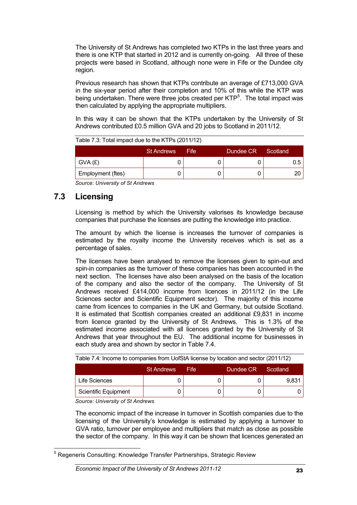The University of St Andrews has completed two KTPs in the last three years and there is one KTP that started in 2012 and is currently on-going. All three of these projects were based in Scotland, although none were in Fife or the Dundee city region.

Previous research has shown that KTPs contribute an average of £713,000 GVA in the six-year period after their completion and 10% of this while the KTP was being undertaken. There were three jobs created per KTP<sup>5</sup>. The total impact was then calculated by applying the appropriate multipliers.

In this way it can be shown that the KTPs undertaken by the University of St Andrews contributed £0.5 million GVA and 20 jobs to Scotland in 2011/12.

| Table 7.3: Total impact due to the KTPs (2011/12) |                   |       |           |          |  |
|---------------------------------------------------|-------------------|-------|-----------|----------|--|
|                                                   | <b>St Andrews</b> | Fife. | Dundee CR | Scotland |  |
| GVA (£)                                           |                   |       |           | $0.5 -$  |  |
| Employment (ftes)                                 |                   |       |           |          |  |

*Source: University of St Andrews*

### **7.3 Licensing**

Licensing is method by which the University valorises its knowledge because companies that purchase the licenses are putting the knowledge into practice.

The amount by which the license is increases the turnover of companies is estimated by the royalty income the University receives which is set as a percentage of sales.

The licenses have been analysed to remove the licenses given to spin-out and spin-in companies as the turnover of these companies has been accounted in the next section. The licenses have also been analysed on the basis of the location of the company and also the sector of the company. The University of St Andrews received £414,000 income from licences in 2011/12 (in the Life Sciences sector and Scientific Equipment sector). The majority of this income came from licences to companies in the UK and Germany, but outside Scotland. It is estimated that Scottish companies created an additional £9,831 in income from licence granted by the University of St Andrews. This is 1.3% of the estimated income associated with all licences granted by the University of St Andrews that year throughout the EU. The additional income for businesses in each study area and shown by sector in Table 7.4.

| Table 7.4: Income to companies from UofStA license by location and sector (2011/12) |                   |      |           |          |  |
|-------------------------------------------------------------------------------------|-------------------|------|-----------|----------|--|
|                                                                                     | <b>St Andrews</b> | Fife | Dundee CR | Scotland |  |
| Life Sciences                                                                       |                   |      |           | 9,831    |  |
| <b>Scientific Equipment</b>                                                         |                   |      |           |          |  |

*Source: University of St Andrews*

The economic impact of the increase in turnover in Scottish companies due to the licensing of the University's knowledge is estimated by applying a turnover to GVA ratio, turnover per employee and multipliers that match as close as possible the sector of the company. In this way it can be shown that licences generated an

<sup>&</sup>lt;sup>5</sup> Regeneris Consulting: Knowledge Transfer Partnerships, Strategic Review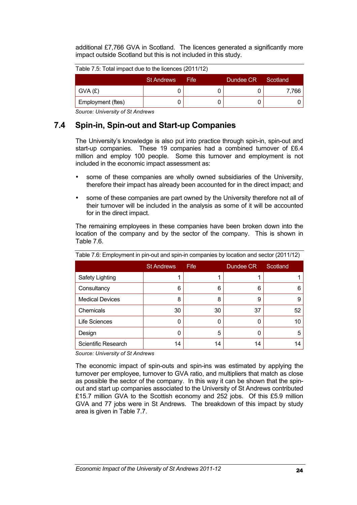additional £7,766 GVA in Scotland. The licences generated a significantly more impact outside Scotland but this is not included in this study.

| Table 7.5: Total impact due to the licences (2011/12) |  |  |  |
|-------------------------------------------------------|--|--|--|
|                                                       |  |  |  |

|                   | <b>St Andrews</b> | Fife: | Dundee CR | Scotland |
|-------------------|-------------------|-------|-----------|----------|
| GVA(E)            |                   |       |           | 7.766    |
| Employment (ftes) |                   |       |           |          |

*Source: University of St Andrews*

### **7.4 Spin-in, Spin-out and Start-up Companies**

The University's knowledge is also put into practice through spin-in, spin-out and start-up companies. These 19 companies had a combined turnover of £6.4 million and employ 100 people. Some this turnover and employment is not included in the economic impact assessment as:

- some of these companies are wholly owned subsidiaries of the University, therefore their impact has already been accounted for in the direct impact; and
- some of these companies are part owned by the University therefore not all of their turnover will be included in the analysis as some of it will be accounted for in the direct impact.

The remaining employees in these companies have been broken down into the location of the company and by the sector of the company. This is shown in Table 7.6.

| $\frac{1}{2}$ and $\frac{1}{2}$ . The state in the state of the state of the state of the state of $\frac{1}{2}$ . The state of $\frac{1}{2}$ |                   |      |           |          |  |  |
|-----------------------------------------------------------------------------------------------------------------------------------------------|-------------------|------|-----------|----------|--|--|
|                                                                                                                                               | <b>St Andrews</b> | Fife | Dundee CR | Scotland |  |  |
| Safety Lighting                                                                                                                               |                   |      |           |          |  |  |
| Consultancy                                                                                                                                   | 6                 | 6    | 6         | 6        |  |  |
| <b>Medical Devices</b>                                                                                                                        | 8                 | 8    | 9         | 9        |  |  |
| Chemicals                                                                                                                                     | 30                | 30   | 37        | 52       |  |  |
| <b>Life Sciences</b>                                                                                                                          | 0                 |      | 0         | 10       |  |  |
| Design                                                                                                                                        | 0                 | 5    | 0         | 5        |  |  |
| Scientific Research                                                                                                                           | 14                | 14   | 14        | 14       |  |  |

Table 7.6: Employment in pin-out and spin-in companies by location and sector (2011/12)

*Source: University of St Andrews*

The economic impact of spin-outs and spin-ins was estimated by applying the turnover per employee, turnover to GVA ratio, and multipliers that match as close as possible the sector of the company. In this way it can be shown that the spinout and start up companies associated to the University of St Andrews contributed £15.7 million GVA to the Scottish economy and 252 jobs. Of this £5.9 million GVA and 77 jobs were in St Andrews. The breakdown of this impact by study area is given in Table 7.7.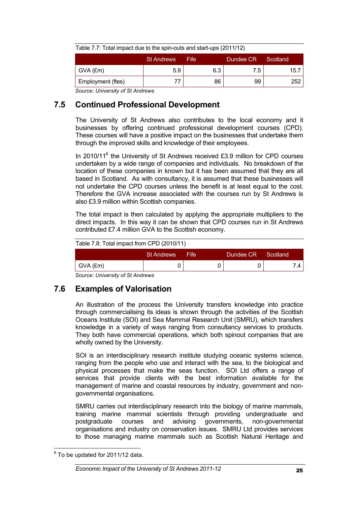| Table 7.7: Total impact due to the spin-outs and start-ups (2011/12) |                   |      |           |          |  |
|----------------------------------------------------------------------|-------------------|------|-----------|----------|--|
|                                                                      | <b>St Andrews</b> | Fife | Dundee CR | Scotland |  |
| $\mid$ GVA (£m)                                                      | 5.9               | 6.3  | 7.5       | 15.7     |  |
| Employment (ftes)                                                    |                   | 86   | 99        | 252      |  |

*Source: University of St Andrews*

### **7.5 Continued Professional Development**

The University of St Andrews also contributes to the local economy and it businesses by offering continued professional development courses (CPD). These courses will have a positive impact on the businesses that undertake them through the improved skills and knowledge of their employees.

In 2010/11<sup>6</sup> the University of St Andrews received £3.9 million for CPD courses undertaken by a wide range of companies and individuals. No breakdown of the location of these companies in known but it has been assumed that they are all based in Scotland. As with consultancy, it is assumed that these businesses will not undertake the CPD courses unless the benefit is at least equal to the cost. Therefore the GVA increase associated with the courses run by St Andrews is also £3.9 million within Scottish companies.

The total impact is then calculated by applying the appropriate multipliers to the direct impacts. In this way it can be shown that CPD courses run in St Andrews contributed £7.4 million GVA to the Scottish economy.

| Table 7.8: Total impact from CPD (2010/11) |                   |      |           |          |  |
|--------------------------------------------|-------------------|------|-----------|----------|--|
|                                            | <b>St Andrews</b> | Fife | Dundee CR | Scotland |  |
| GVA (£m)                                   |                   |      |           |          |  |

*Source: University of St Andrews*

### **7.6 Examples of Valorisation**

An illustration of the process the University transfers knowledge into practice through commercialising its ideas is shown through the activities of the Scottish Oceans Institute (SOI) and Sea Mammal Research Unit (SMRU), which transfers knowledge in a variety of ways ranging from consultancy services to products. They both have commercial operations, which both spinout companies that are wholly owned by the University.

SOI is an interdisciplinary research institute studying oceanic systems science, ranging from the people who use and interact with the sea, to the biological and physical processes that make the seas function. SOI Ltd offers a range of services that provide clients with the best information available for the management of marine and coastal resources by industry, government and nongovernmental organisations.

SMRU carries out interdisciplinary research into the biology of marine mammals, training marine mammal scientists through providing undergraduate and postgraduate courses and advising governments, non-governmental organisations and industry on conservation issues. SMRU Ltd provides services to those managing marine mammals such as Scottish Natural Heritage and

 $6$  To be updated for 2011/12 data.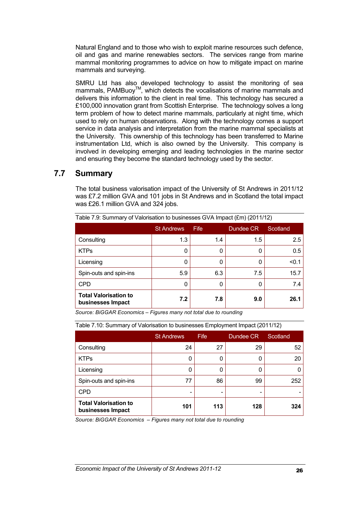Natural England and to those who wish to exploit marine resources such defence, oil and gas and marine renewables sectors. The services range from marine mammal monitoring programmes to advice on how to mitigate impact on marine mammals and surveying.

SMRU Ltd has also developed technology to assist the monitoring of sea mammals, PAMBuoy™, which detects the vocalisations of marine mammals and delivers this information to the client in real time. This technology has secured a £100,000 innovation grant from Scottish Enterprise. The technology solves a long term problem of how to detect marine mammals, particularly at night time, which used to rely on human observations. Along with the technology comes a support service in data analysis and interpretation from the marine mammal specialists at the University. This ownership of this technology has been transferred to Marine instrumentation Ltd, which is also owned by the University. This company is involved in developing emerging and leading technologies in the marine sector and ensuring they become the standard technology used by the sector.

### **7.7 Summary**

The total business valorisation impact of the University of St Andrews in 2011/12 was £7.2 million GVA and 101 jobs in St Andrews and in Scotland the total impact was £26.1 million GVA and 324 jobs.

| $1800$ and $1.50$ . Our mindividual values for public businesses $\bigcup_{i=1}^{n}$ (Eq. (2011) (2011) 12) |                   |      |           |          |  |  |
|-------------------------------------------------------------------------------------------------------------|-------------------|------|-----------|----------|--|--|
|                                                                                                             | <b>St Andrews</b> | Fife | Dundee CR | Scotland |  |  |
| Consulting                                                                                                  | 1.3               | 1.4  | 1.5       | 2.5      |  |  |
| <b>KTPs</b>                                                                                                 | 0                 | O    | 0         | 0.5      |  |  |
| Licensing                                                                                                   | 0                 | 0    | 0         | < 0.1    |  |  |
| Spin-outs and spin-ins                                                                                      | 5.9               | 6.3  | 7.5       | 15.7     |  |  |
| <b>CPD</b>                                                                                                  | 0                 | 0    | 0         | 7.4      |  |  |
| <b>Total Valorisation to</b><br>businesses Impact                                                           | 7.2               | 7.8  | 9.0       | 26.1     |  |  |

Table 7.9: Summary of Valorisation to businesses GVA Impact (£m) (2011/12)

*Source: BiGGAR Economics – Figures many not total due to rounding*

| Table 7.10. Suffittingly OF ValoriSation to businesses Entiployment impact (2011/12) |                   |             |           |          |  |  |
|--------------------------------------------------------------------------------------|-------------------|-------------|-----------|----------|--|--|
|                                                                                      | <b>St Andrews</b> | <b>Fife</b> | Dundee CR | Scotland |  |  |
| Consulting                                                                           | 24                | 27          | 29        | 52       |  |  |
| <b>KTPs</b>                                                                          | ი                 |             | 0         | 20       |  |  |
| Licensing                                                                            |                   |             | 0         |          |  |  |
| Spin-outs and spin-ins                                                               | 77                | 86          | 99        | 252      |  |  |
| <b>CPD</b>                                                                           |                   |             |           |          |  |  |
| <b>Total Valorisation to</b><br>businesses Impact                                    | 101               | 113         | 128       | 324      |  |  |

Table 7.10: Summary of Valorisation to businesses Employment Impact (2011/12)

*Source: BiGGAR Economics – Figures many not total due to rounding*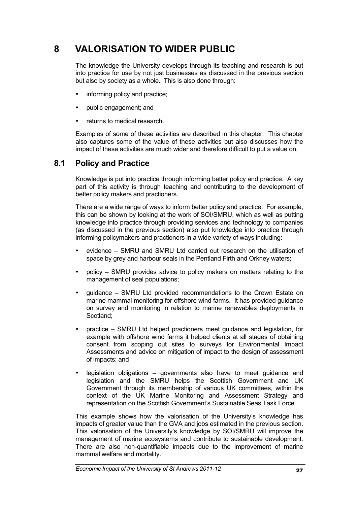# **8 VALORISATION TO WIDER PUBLIC**

The knowledge the University develops through its teaching and research is put into practice for use by not just businesses as discussed in the previous section but also by society as a whole. This is also done through:

- informing policy and practice:
- public engagement; and
- returns to medical research.

Examples of some of these activities are described in this chapter. This chapter also captures some of the value of these activities but also discusses how the impact of these activities are much wider and therefore difficult to put a value on.

### **8.1 Policy and Practice**

Knowledge is put into practice through informing better policy and practice. A key part of this activity is through teaching and contributing to the development of better policy makers and practioners.

There are a wide range of ways to inform better policy and practice. For example, this can be shown by looking at the work of SOI/SMRU, which as well as putting knowledge into practice through providing services and technology to companies (as discussed in the previous section) also put knowledge into practice through informing policymakers and practioners in a wide variety of ways including:

- evidence SMRU and SMRU Ltd carried out research on the utilisation of space by grey and harbour seals in the Pentland Firth and Orkney waters;
- policy SMRU provides advice to policy makers on matters relating to the management of seal populations;
- guidance SMRU Ltd provided recommendations to the Crown Estate on marine mammal monitoring for offshore wind farms. It has provided guidance on survey and monitoring in relation to marine renewables deployments in Scotland;
- practice SMRU Ltd helped practioners meet guidance and legislation, for example with offshore wind farms it helped clients at all stages of obtaining consent from scoping out sites to surveys for Environmental Impact Assessments and advice on mitigation of impact to the design of assessment of impacts; and
- legislation obligations governments also have to meet guidance and legislation and the SMRU helps the Scottish Government and UK Government through its membership of various UK committees, within the context of the UK Marine Monitoring and Assessment Strategy and representation on the Scottish Government's Sustainable Seas Task Force.

This example shows how the valorisation of the University's knowledge has impacts of greater value than the GVA and jobs estimated in the previous section. This valorisation of the University's knowledge by SOI/SMRU will improve the management of marine ecosystems and contribute to sustainable development. There are also non-quantifiable impacts due to the improvement of marine mammal welfare and mortality.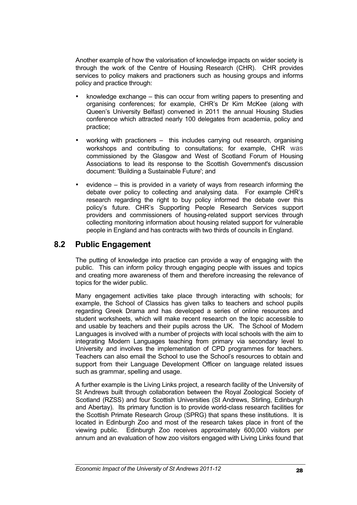Another example of how the valorisation of knowledge impacts on wider society is through the work of the Centre of Housing Research (CHR). CHR provides services to policy makers and practioners such as housing groups and informs policy and practice through:

- knowledge exchange this can occur from writing papers to presenting and organising conferences; for example, CHR's Dr Kim McKee (along with Queen's University Belfast) convened in 2011 the annual Housing Studies conference which attracted nearly 100 delegates from academia, policy and practice;
- working with practioners this includes carrying out research, organising workshops and contributing to consultations; for example, CHR was commissioned by the Glasgow and West of Scotland Forum of Housing Associations to lead its response to the Scottish Government's discussion document: 'Building a Sustainable Future'; and
- evidence this is provided in a variety of ways from research informing the debate over policy to collecting and analysing data. For example CHR's research regarding the right to buy policy informed the debate over this policy's future. CHR's Supporting People Research Services support providers and commissioners of housing-related support services through collecting monitoring information about housing related support for vulnerable people in England and has contracts with two thirds of councils in England.

### **8.2 Public Engagement**

The putting of knowledge into practice can provide a way of engaging with the public. This can inform policy through engaging people with issues and topics and creating more awareness of them and therefore increasing the relevance of topics for the wider public.

Many engagement activities take place through interacting with schools; for example, the School of Classics has given talks to teachers and school pupils regarding Greek Drama and has developed a series of online resources and student worksheets, which will make recent research on the topic accessible to and usable by teachers and their pupils across the UK. The School of Modern Languages is involved with a number of projects with local schools with the aim to integrating Modern Languages teaching from primary via secondary level to University and involves the implementation of CPD programmes for teachers. Teachers can also email the School to use the School's resources to obtain and support from their Language Development Officer on language related issues such as grammar, spelling and usage.

A further example is the Living Links project, a research facility of the University of St Andrews built through collaboration between the Royal Zoological Society of Scotland (RZSS) and four Scottish Universities (St Andrews, Stirling, Edinburgh and Abertay). Its primary function is to provide world-class research facilities for the Scottish Primate Research Group (SPRG) that spans these institutions. It is located in Edinburgh Zoo and most of the research takes place in front of the viewing public. Edinburgh Zoo receives approximately 600,000 visitors per annum and an evaluation of how zoo visitors engaged with Living Links found that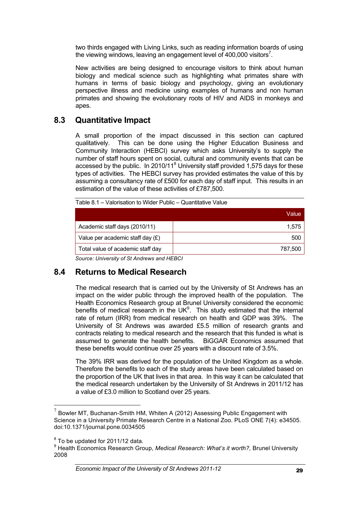two thirds engaged with Living Links, such as reading information boards of using the viewing windows, leaving an engagement level of 400,000 visitors<sup>7</sup>.

New activities are being designed to encourage visitors to think about human biology and medical science such as highlighting what primates share with humans in terms of basic biology and psychology, giving an evolutionary perspective illness and medicine using examples of humans and non human primates and showing the evolutionary roots of HIV and AIDS in monkeys and apes.

### **8.3 Quantitative Impact**

A small proportion of the impact discussed in this section can captured qualitatively. This can be done using the Higher Education Business and Community Interaction (HEBCI) survey which asks University's to supply the number of staff hours spent on social, cultural and community events that can be accessed by the public. In 2010/11<sup>8</sup> University staff provided 1,575 days for these types of activities. The HEBCI survey has provided estimates the value of this by assuming a consultancy rate of £500 for each day of staff input. This results in an estimation of the value of these activities of £787,500.

|                                    | Value   |
|------------------------------------|---------|
| Academic staff days (2010/11)      | 1.575   |
| Value per academic staff day $(E)$ | 500     |
| Total value of academic staff day  | 787,500 |
|                                    |         |

Table 8.1 – Valorisation to Wider Public – Quantitative Value

*Source: University of St Andrews and HEBCI*

### **8.4 Returns to Medical Research**

The medical research that is carried out by the University of St Andrews has an impact on the wider public through the improved health of the population. The Health Economics Research group at Brunel University considered the economic benefits of medical research in the UK $9$ . This study estimated that the internal rate of return (IRR) from medical research on health and GDP was 39%. The University of St Andrews was awarded £5.5 million of research grants and contracts relating to medical research and the research that this funded is what is assumed to generate the health benefits. BiGGAR Economics assumed that these benefits would continue over 25 years with a discount rate of 3.5%.

The 39% IRR was derived for the population of the United Kingdom as a whole. Therefore the benefits to each of the study areas have been calculated based on the proportion of the UK that lives in that area. In this way it can be calculated that the medical research undertaken by the University of St Andrews in 2011/12 has a value of £3.0 million to Scotland over 25 years.

 $7$  Bowler MT, Buchanan-Smith HM, Whiten A (2012) Assessing Public Engagement with Science in a University Primate Research Centre in a National Zoo. PLoS ONE 7(4): e34505. doi:10.1371/journal.pone.0034505

 $8$  To be updated for 2011/12 data.

<sup>9</sup> Health Economics Research Group, *Medical Research: What's it worth?,* Brunel University 2008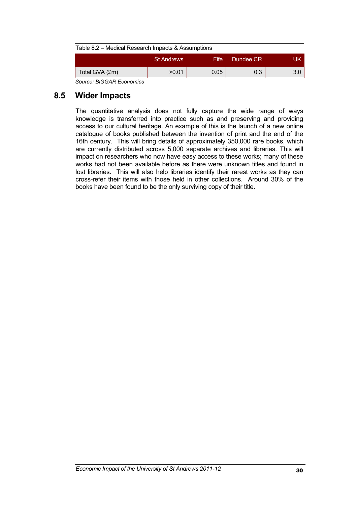| Table 8.2 – Medical Research Impacts & Assumptions |                   |       |           |     |  |  |
|----------------------------------------------------|-------------------|-------|-----------|-----|--|--|
|                                                    | <b>St Andrews</b> | Fife: | Dundee CR | UK  |  |  |
| Total GVA (£m)                                     | >0.01             | 0.05  | 0.3       | 3.0 |  |  |
| Source: BIGGAR Economics                           |                   |       |           |     |  |  |

### **8.5 Wider Impacts**

The quantitative analysis does not fully capture the wide range of ways knowledge is transferred into practice such as and preserving and providing access to our cultural heritage. An example of this is the launch of a new online catalogue of books published between the invention of print and the end of the 16th century. This will bring details of approximately 350,000 rare books, which are currently distributed across 5,000 separate archives and libraries. This will impact on researchers who now have easy access to these works; many of these works had not been available before as there were unknown titles and found in lost libraries. This will also help libraries identify their rarest works as they can cross-refer their items with those held in other collections. Around 30% of the books have been found to be the only surviving copy of their title.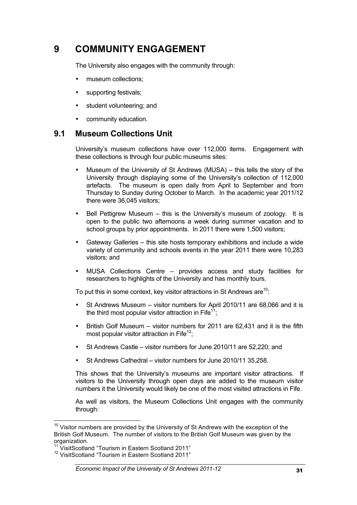# **9 COMMUNITY ENGAGEMENT**

The University also engages with the community through:

- museum collections:
- supporting festivals:
- student volunteering; and
- community education.

### **9.1 Museum Collections Unit**

University's museum collections have over 112,000 items. Engagement with these collections is through four public museums sites:

- Museum of the University of St Andrews (MUSA) this tells the story of the University through displaying some of the University's collection of 112,000 artefacts. The museum is open daily from April to September and from Thursday to Sunday during October to March. In the academic year 2011/12 there were 36,045 visitors;
- Bell Pettigrew Museum this is the University's museum of zoology. It is open to the public two afternoons a week during summer vacation and to school groups by prior appointments. In 2011 there were 1,500 visitors:
- Gateway Galleries this site hosts temporary exhibitions and include a wide variety of community and schools events in the year 2011 there were 10,283 visitors; and
- MUSA Collections Centre provides access and study facilities for researchers to highlights of the University and has monthly tours.

To put this in some context, key visitor attractions in St Andrews are  $10$ .

- St Andrews Museum visitor numbers for April 2010/11 are 68,066 and it is the third most popular visitor attraction in Fife<sup>11</sup>;
- British Golf Museum visitor numbers for 2011 are 62,431 and it is the fifth most popular visitor attraction in Fife $12$ ;
- St Andrews Castle visitor numbers for June 2010/11 are 52,220; and
- St Andrews Cathedral visitor numbers for June 2010/11 35,258.

This shows that the University's museums are important visitor attractions. If visitors to the University through open days are added to the museum visitor numbers it the University would likely be one of the most visited attractions in Fife.

As well as visitors, the Museum Collections Unit engages with the community through:

 $10$  Visitor numbers are provided by the University of St Andrews with the exception of the British Golf Museum. The number of visitors to the British Golf Museum was given by the organization.

 $11$  VisitScotland "Tourism in Eastern Scotland 2011"

<sup>&</sup>lt;sup>12</sup> VisitScotland "Tourism in Eastern Scotland 2011"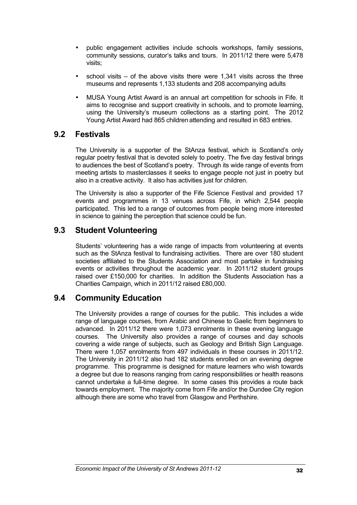- public engagement activities include schools workshops, family sessions, community sessions, curator's talks and tours. In 2011/12 there were 5,478 visits;
- school visits  $-$  of the above visits there were 1,341 visits across the three museums and represents 1,133 students and 208 accompanying adults
- MUSA Young Artist Award is an annual art competition for schools in Fife. It aims to recognise and support creativity in schools, and to promote learning, using the University's museum collections as a starting point. The 2012 Young Artist Award had 865 children attending and resulted in 683 entries.

### **9.2 Festivals**

The University is a supporter of the StAnza festival, which is Scotland's only regular poetry festival that is devoted solely to poetry. The five day festival brings to audiences the best of Scotland's poetry. Through its wide range of events from meeting artists to masterclasses it seeks to engage people not just in poetry but also in a creative activity. It also has activities just for children.

The University is also a supporter of the Fife Science Festival and provided 17 events and programmes in 13 venues across Fife, in which 2,544 people participated. This led to a range of outcomes from people being more interested in science to gaining the perception that science could be fun.

### **9.3 Student Volunteering**

Students' volunteering has a wide range of impacts from volunteering at events such as the StAnza festival to fundraising activities. There are over 180 student societies affiliated to the Students Association and most partake in fundraising events or activities throughout the academic year. In 2011/12 student groups raised over £150,000 for charities. In addition the Students Association has a Charities Campaign, which in 2011/12 raised £80,000.

### **9.4 Community Education**

The University provides a range of courses for the public. This includes a wide range of language courses, from Arabic and Chinese to Gaelic from beginners to advanced. In 2011/12 there were 1,073 enrolments in these evening language courses. The University also provides a range of courses and day schools covering a wide range of subjects, such as Geology and British Sign Language. There were 1,057 enrolments from 497 individuals in these courses in 2011/12. The University in 2011/12 also had 182 students enrolled on an evening degree programme. This programme is designed for mature learners who wish towards a degree but due to reasons ranging from caring responsibilities or health reasons cannot undertake a full-time degree. In some cases this provides a route back towards employment. The majority come from Fife and/or the Dundee City region although there are some who travel from Glasgow and Perthshire.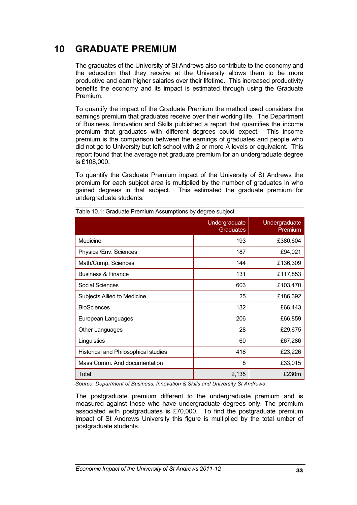# **10 GRADUATE PREMIUM**

The graduates of the University of St Andrews also contribute to the economy and the education that they receive at the University allows them to be more productive and earn higher salaries over their lifetime. This increased productivity benefits the economy and its impact is estimated through using the Graduate Premium.

To quantify the impact of the Graduate Premium the method used considers the earnings premium that graduates receive over their working life. The Department of Business, Innovation and Skills published a report that quantifies the income premium that graduates with different degrees could expect. This income premium is the comparison between the earnings of graduates and people who did not go to University but left school with 2 or more A levels or equivalent. This report found that the average net graduate premium for an undergraduate degree is £108,000.

To quantify the Graduate Premium impact of the University of St Andrews the premium for each subject area is multiplied by the number of graduates in who gained degrees in that subject. This estimated the graduate premium for undergraduate students.

|                                      | Undergraduate<br><b>Graduates</b> | Undergraduate<br>Premium |
|--------------------------------------|-----------------------------------|--------------------------|
| Medicine                             | 193                               | £380,604                 |
| Physical/Env. Sciences               | 187                               | £94,021                  |
| Math/Comp. Sciences                  | 144                               | £136,309                 |
| <b>Business &amp; Finance</b>        | 131                               | £117,853                 |
| Social Sciences                      | 603                               | £103,470                 |
| Subjects Allied to Medicine          | 25                                | £186,392                 |
| <b>BioSciences</b>                   | 132                               | £66,443                  |
| European Languages                   | 206                               | £66,859                  |
| <b>Other Languages</b>               | 28                                | £29,675                  |
| Linguistics                          | 60                                | £67,286                  |
| Historical and Philosophical studies | 418                               | £23,226                  |
| Mass Comm. And documentation         | 8                                 | £33,015                  |
| Total                                | 2,135                             | £230m                    |

Table 10.1: Graduate Premium Assumptions by degree subject

*Source: Department of Business, Innovation & Skills and University St Andrews* 

The postgraduate premium different to the undergraduate premium and is measured against those who have undergraduate degrees only. The premium associated with postgraduates is £70,000. To find the postgraduate premium impact of St Andrews University this figure is multiplied by the total umber of postgraduate students.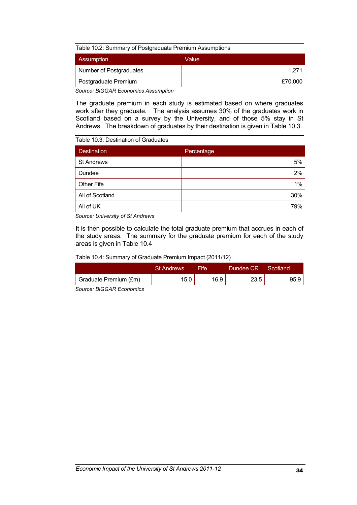Table 10.2: Summary of Postgraduate Premium Assumptions

| Assumption              | Value   |
|-------------------------|---------|
| Number of Postgraduates | 1.271   |
| Postgraduate Premium    | £70,000 |
|                         |         |

*Source: BiGGAR Economics Assumption*

The graduate premium in each study is estimated based on where graduates work after they graduate. The analysis assumes 30% of the graduates work in Scotland based on a survey by the University, and of those 5% stay in St Andrews. The breakdown of graduates by their destination is given in Table 10.3.

#### Table 10.3: Destination of Graduates

| <b>Destination</b> | Percentage |
|--------------------|------------|
| <b>St Andrews</b>  | 5%         |
| Dundee             | 2%         |
| <b>Other Fife</b>  | $1\%$      |
| All of Scotland    | 30%        |
| All of UK          | 79%        |

*Source: University of St Andrews* 

It is then possible to calculate the total graduate premium that accrues in each of the study areas. The summary for the graduate premium for each of the study areas is given in Table 10.4

|  | Table 10.4: Summary of Graduate Premium Impact (2011/12) |  |  |  |
|--|----------------------------------------------------------|--|--|--|
|  |                                                          |  |  |  |

|                                           | <b>St Andrews</b> | <b>Fife</b> | Dundee CR | - Scotland |
|-------------------------------------------|-------------------|-------------|-----------|------------|
| Graduate Premium (£m)                     | 15.0              | 16.9        | 23.5      | 95.9 I     |
| $\sim$ $\sim$ $\sim$ $\sim$ $\sim$ $\sim$ |                   |             |           |            |

*Source: BiGGAR Economics*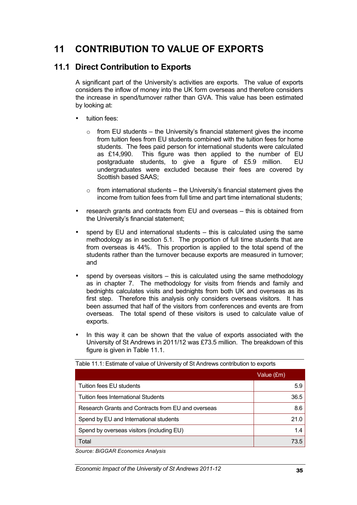# **11 CONTRIBUTION TO VALUE OF EXPORTS**

### **11.1 Direct Contribution to Exports**

A significant part of the University's activities are exports. The value of exports considers the inflow of money into the UK form overseas and therefore considers the increase in spend/turnover rather than GVA. This value has been estimated by looking at:

- tuition fees:
	- $\circ$  from EU students the University's financial statement gives the income from tuition fees from EU students combined with the tuition fees for home students. The fees paid person for international students were calculated as £14,990. This figure was then applied to the number of EU postgraduate students, to give a figure of £5.9 million. EU undergraduates were excluded because their fees are covered by Scottish based SAAS;
	- $\circ$  from international students the University's financial statement gives the income from tuition fees from full time and part time international students;
- research grants and contracts from EU and overseas this is obtained from the University's financial statement;
- spend by EU and international students  $-$  this is calculated using the same methodology as in section 5.1. The proportion of full time students that are from overseas is 44%. This proportion is applied to the total spend of the students rather than the turnover because exports are measured in turnover; and
- spend by overseas visitors this is calculated using the same methodology as in chapter 7. The methodology for visits from friends and family and bednights calculates visits and bednights from both UK and overseas as its first step. Therefore this analysis only considers overseas visitors. It has been assumed that half of the visitors from conferences and events are from overseas. The total spend of these visitors is used to calculate value of exports.
- In this way it can be shown that the value of exports associated with the University of St Andrews in 2011/12 was £73.5 million. The breakdown of this figure is given in Table 11.1.

|                                                    | Value (£m) |
|----------------------------------------------------|------------|
| Tuition fees EU students                           | 5.9        |
| Tuition fees International Students                | 36.5       |
| Research Grants and Contracts from EU and overseas | 8.6        |
| Spend by EU and International students             | 21.0       |
| Spend by overseas visitors (including EU)          | 1.4        |
| Total                                              | 73.5       |

Table 11.1: Estimate of value of University of St Andrews contribution to exports

*Source: BiGGAR Economics Analysis*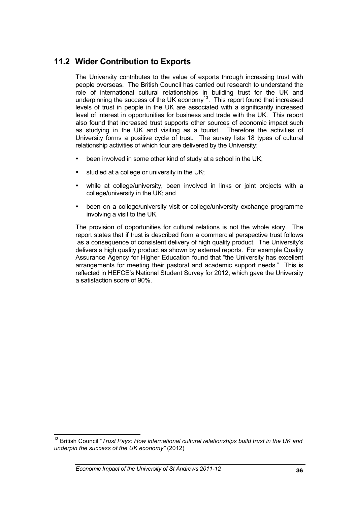### **11.2 Wider Contribution to Exports**

The University contributes to the value of exports through increasing trust with people overseas. The British Council has carried out research to understand the role of international cultural relationships in building trust for the UK and underpinning the success of the UK economy<sup>13</sup>. This report found that increased levels of trust in people in the UK are associated with a significantly increased level of interest in opportunities for business and trade with the UK. This report also found that increased trust supports other sources of economic impact such as studying in the UK and visiting as a tourist. Therefore the activities of University forms a positive cycle of trust. The survey lists 18 types of cultural relationship activities of which four are delivered by the University:

- been involved in some other kind of study at a school in the UK:
- studied at a college or university in the UK;
- while at college/university, been involved in links or joint projects with a college/university in the UK; and
- been on a college/university visit or college/university exchange programme involving a visit to the UK.

The provision of opportunities for cultural relations is not the whole story. The report states that if trust is described from a commercial perspective trust follows as a consequence of consistent delivery of high quality product. The University's delivers a high quality product as shown by external reports. For example Quality Assurance Agency for Higher Education found that "the University has excellent arrangements for meeting their pastoral and academic support needs." This is reflected in HEFCE's National Student Survey for 2012, which gave the University a satisfaction score of 90%.

<sup>13</sup> British Council "*Trust Pays: How international cultural relationships build trust in the UK and underpin the success of the UK economy"* (2012)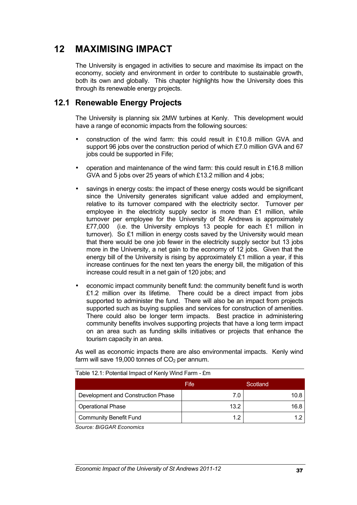# **12 MAXIMISING IMPACT**

The University is engaged in activities to secure and maximise its impact on the economy, society and environment in order to contribute to sustainable growth, both its own and globally. This chapter highlights how the University does this through its renewable energy projects.

### **12.1 Renewable Energy Projects**

The University is planning six 2MW turbines at Kenly. This development would have a range of economic impacts from the following sources:

- construction of the wind farm: this could result in £10.8 million GVA and support 96 jobs over the construction period of which £7.0 million GVA and 67 jobs could be supported in Fife;
- operation and maintenance of the wind farm: this could result in £16.8 million GVA and 5 jobs over 25 years of which £13.2 million and 4 jobs;
- savings in energy costs: the impact of these energy costs would be significant since the University generates significant value added and employment, relative to its turnover compared with the electricity sector. Turnover per employee in the electricity supply sector is more than £1 million, while turnover per employee for the University of St Andrews is approximately £77,000 (i.e. the University employs 13 people for each £1 million in turnover). So £1 million in energy costs saved by the University would mean that there would be one job fewer in the electricity supply sector but 13 jobs more in the University, a net gain to the economy of 12 jobs. Given that the energy bill of the University is rising by approximately £1 million a year, if this increase continues for the next ten years the energy bill, the mitigation of this increase could result in a net gain of 120 jobs; and
- economic impact community benefit fund: the community benefit fund is worth £1.2 million over its lifetime. There could be a direct impact from jobs supported to administer the fund. There will also be an impact from projects supported such as buying supplies and services for construction of amenities. There could also be longer term impacts. Best practice in administering community benefits involves supporting projects that have a long term impact on an area such as funding skills initiatives or projects that enhance the tourism capacity in an area.

As well as economic impacts there are also environmental impacts. Kenly wind farm will save 19,000 tonnes of  $CO<sub>2</sub>$  per annum.

|                                    | Fife | Scotland |
|------------------------------------|------|----------|
| Development and Construction Phase | 7.0  | 10.8     |
| <b>Operational Phase</b>           | 13.2 | 16.8     |
| Community Benefit Fund             | 1.2  |          |

Table 12.1: Potential Impact of Kenly Wind Farm - £m

*Source: BiGGAR Economics*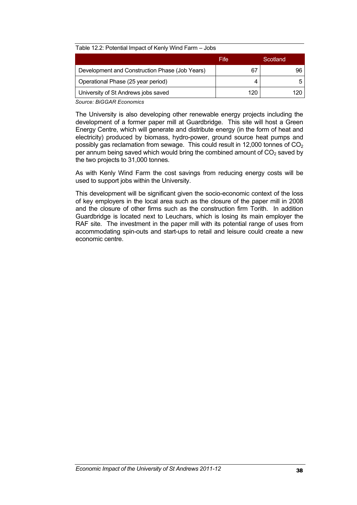|                                                | Fife | Scotland |
|------------------------------------------------|------|----------|
| Development and Construction Phase (Job Years) | 67   |          |
| Operational Phase (25 year period)             |      |          |
| University of St Andrews jobs saved            | 120  |          |

*Source: BiGGAR Economics* 

The University is also developing other renewable energy projects including the development of a former paper mill at Guardbridge. This site will host a Green Energy Centre, which will generate and distribute energy (in the form of heat and electricity) produced by biomass, hydro-power, ground source heat pumps and possibly gas reclamation from sewage. This could result in 12,000 tonnes of  $CO<sub>2</sub>$ per annum being saved which would bring the combined amount of  $CO<sub>2</sub>$  saved by the two projects to 31,000 tonnes.

As with Kenly Wind Farm the cost savings from reducing energy costs will be used to support jobs within the University.

This development will be significant given the socio-economic context of the loss of key employers in the local area such as the closure of the paper mill in 2008 and the closure of other firms such as the construction firm Torith. In addition Guardbridge is located next to Leuchars, which is losing its main employer the RAF site. The investment in the paper mill with its potential range of uses from accommodating spin-outs and start-ups to retail and leisure could create a new economic centre.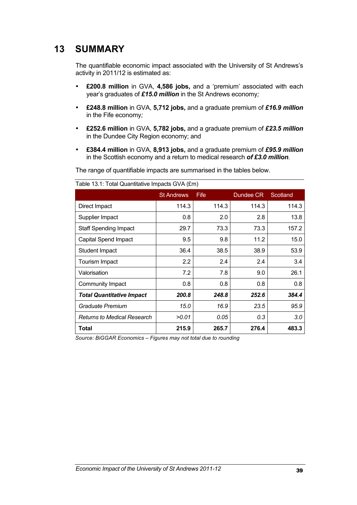# **13 SUMMARY**

The quantifiable economic impact associated with the University of St Andrews's activity in 2011/12 is estimated as:

- **£200.8 million** in GVA, **4,586 jobs,** and a 'premium' associated with each year's graduates of *£15.0 million* in the St Andrews economy*;*
- **£248.8 million** in GVA, **5,712 jobs,** and a graduate premium of *£16.9 million* in the Fife economy*;*
- **£252.6 million** in GVA, **5,782 jobs,** and a graduate premium of *£23.5 million* in the Dundee City Region economy; and
- **£384.4 million** in GVA, **8,913 jobs,** and a graduate premium of *£95.9 million* in the Scottish economy and a return to medical research *of £3.0 million.*

The range of quantifiable impacts are summarised in the tables below.

|                                    | <b>St Andrews</b> | <b>Fife</b> | Dundee CR | Scotland |
|------------------------------------|-------------------|-------------|-----------|----------|
| Direct Impact                      | 114.3             | 114.3       | 114.3     | 114.3    |
| Supplier Impact                    | 0.8               | 2.0         | 2.8       | 13.8     |
| <b>Staff Spending Impact</b>       | 29.7              | 73.3        | 73.3      | 157.2    |
| <b>Capital Spend Impact</b>        | 9.5               | 9.8         | 11.2      | 15.0     |
| Student Impact                     | 36.4              | 38.5        | 38.9      | 53.9     |
| Tourism Impact                     | $2.2\phantom{0}$  | 2.4         | 2.4       | 3.4      |
| Valorisation                       | 7.2               | 7.8         | 9.0       | 26.1     |
| Community Impact                   | 0.8               | 0.8         | 0.8       | 0.8      |
| <b>Total Quantitative Impact</b>   | 200.8             | 248.8       | 252.6     | 384.4    |
| Graduate Premium                   | 15.0              | 16.9        | 23.5      | 95.9     |
| <b>Returns to Medical Research</b> | >0.01             | 0.05        | 0.3       | 3.0      |
| Total                              | 215.9             | 265.7       | 276.4     | 483.3    |

Table 13.1: Total Quantitative Impacts GVA (£m)

*Source: BiGGAR Economics – Figures may not total due to rounding*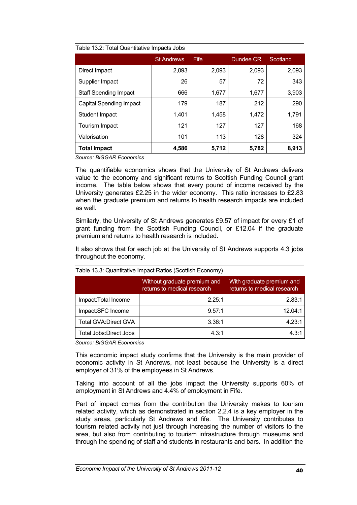| . apid 10.4. 10.6. Quantitudi 10 mipablo 00.00 |                   |             |           |          |  |
|------------------------------------------------|-------------------|-------------|-----------|----------|--|
|                                                | <b>St Andrews</b> | <b>Fife</b> | Dundee CR | Scotland |  |
| Direct Impact                                  | 2,093             | 2,093       | 2,093     | 2,093    |  |
| Supplier Impact                                | 26                | 57          | 72        | 343      |  |
| <b>Staff Spending Impact</b>                   | 666               | 1,677       | 1,677     | 3,903    |  |
| <b>Capital Spending Impact</b>                 | 179               | 187         | 212       | 290      |  |
| Student Impact                                 | 1,401             | 1,458       | 1,472     | 1,791    |  |
| Tourism Impact                                 | 121               | 127         | 127       | 168      |  |
| Valorisation                                   | 101               | 113         | 128       | 324      |  |
| <b>Total Impact</b>                            | 4,586             | 5,712       | 5,782     | 8,913    |  |

#### Table 13.2: Total Quantitative Impacts Jobs

*Source: BiGGAR Economics* 

The quantifiable economics shows that the University of St Andrews delivers value to the economy and significant returns to Scottish Funding Council grant income. The table below shows that every pound of income received by the University generates £2.25 in the wider economy. This ratio increases to £2.83 when the graduate premium and returns to health research impacts are included as well.

Similarly, the University of St Andrews generates £9.57 of impact for every £1 of grant funding from the Scottish Funding Council, or £12.04 if the graduate premium and returns to health research is included.

It also shows that for each job at the University of St Andrews supports 4.3 jobs throughout the economy.

| Table 19.9. Quartitudive impact Ratios (Ocottion Economy) |                                                             |                                                          |  |  |
|-----------------------------------------------------------|-------------------------------------------------------------|----------------------------------------------------------|--|--|
|                                                           | Without graduate premium and<br>returns to medical research | With graduate premium and<br>returns to medical research |  |  |
| Impact: Total Income                                      | 2.25:1                                                      | 2.83:1                                                   |  |  |
| Impact:SFC Income                                         | 9.57:1                                                      | 12.04:1                                                  |  |  |
| <b>Total GVA:Direct GVA</b>                               | 3.36:1                                                      | 4.23:1                                                   |  |  |
| Total Jobs: Direct Jobs                                   | 4.3:1                                                       | 4.3:1                                                    |  |  |

|  | Table 13.3: Quantitative Impact Ratios (Scottish Economy) |  |
|--|-----------------------------------------------------------|--|
|  |                                                           |  |

*Source: BiGGAR Economics* 

This economic impact study confirms that the University is the main provider of economic activity in St Andrews, not least because the University is a direct employer of 31% of the employees in St Andrews.

Taking into account of all the jobs impact the University supports 60% of employment in St Andrews and 4.4% of employment in Fife.

Part of impact comes from the contribution the University makes to tourism related activity, which as demonstrated in section 2.2.4 is a key employer in the study areas, particularly St Andrews and fife. The University contributes to tourism related activity not just through increasing the number of visitors to the area, but also from contributing to tourism infrastructure through museums and through the spending of staff and students in restaurants and bars. In addition the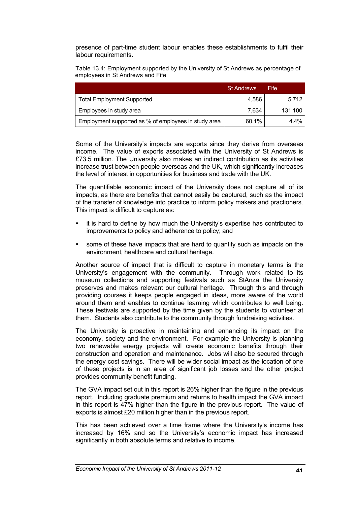presence of part-time student labour enables these establishments to fulfil their labour requirements.

Table 13.4: Employment supported by the University of St Andrews as percentage of employees in St Andrews and Fife

|                                                      | <b>St Andrews</b> | Fife    |
|------------------------------------------------------|-------------------|---------|
| <b>Total Employment Supported</b>                    | 4.586             | 5,712   |
| Employees in study area                              | 7.634             | 131,100 |
| Employment supported as % of employees in study area | 60.1%             | 4.4%    |

Some of the University's impacts are exports since they derive from overseas income. The value of exports associated with the University of St Andrews is £73.5 million. The University also makes an indirect contribution as its activities increase trust between people overseas and the UK, which significantly increases the level of interest in opportunities for business and trade with the UK.

The quantifiable economic impact of the University does not capture all of its impacts, as there are benefits that cannot easily be captured, such as the impact of the transfer of knowledge into practice to inform policy makers and practioners. This impact is difficult to capture as:

- it is hard to define by how much the University's expertise has contributed to improvements to policy and adherence to policy; and
- some of these have impacts that are hard to quantify such as impacts on the environment, healthcare and cultural heritage.

Another source of impact that is difficult to capture in monetary terms is the University's engagement with the community. Through work related to its museum collections and supporting festivals such as StAnza the University preserves and makes relevant our cultural heritage. Through this and through providing courses it keeps people engaged in ideas, more aware of the world around them and enables to continue learning which contributes to well being. These festivals are supported by the time given by the students to volunteer at them. Students also contribute to the community through fundraising activities.

The University is proactive in maintaining and enhancing its impact on the economy, society and the environment. For example the University is planning two renewable energy projects will create economic benefits through their construction and operation and maintenance. Jobs will also be secured through the energy cost savings. There will be wider social impact as the location of one of these projects is in an area of significant job losses and the other project provides community benefit funding.

The GVA impact set out in this report is 26% higher than the figure in the previous report. Including graduate premium and returns to health impact the GVA impact in this report is 47% higher than the figure in the previous report. The value of exports is almost £20 million higher than in the previous report.

This has been achieved over a time frame where the University's income has increased by 16% and so the University's economic impact has increased significantly in both absolute terms and relative to income.